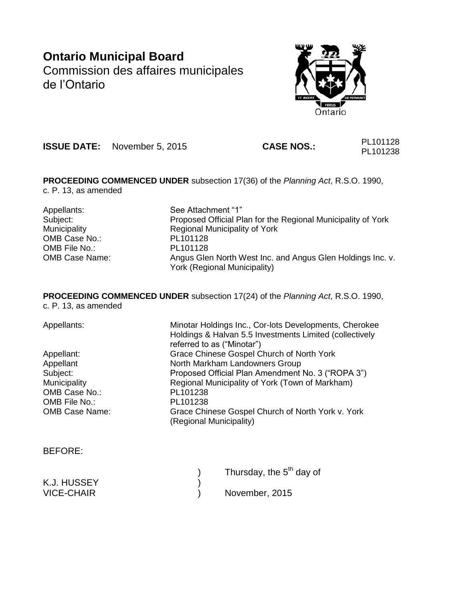# **Ontario Municipal Board** Commission des affaires municipales de l'Ontario



**ISSUE DATE:** November 5, 2015 **CASE NOS.:** PL101128

PL101238

**PROCEEDING COMMENCED UNDER** subsection 17(36) of the *Planning Act*, R.S.O. 1990, c. P. 13, as amended

Appellants: See Attachment "1" Subject: Proposed Official Plan for the Regional Municipality of York Municipality Regional Municipality of York OMB Case No.: PL101128<br>
OMB File No.: PL101128 OMB File No.: OMB Case Name: Angus Glen North West Inc. and Angus Glen Holdings Inc. v. York (Regional Municipality)

**PROCEEDING COMMENCED UNDER** subsection 17(24) of the *Planning Act*, R.S.O. 1990, c. P. 13, as amended

| Minotar Holdings Inc., Cor-lots Developments, Cherokee<br>Holdings & Halvan 5.5 Investments Limited (collectively<br>referred to as ("Minotar") |
|-------------------------------------------------------------------------------------------------------------------------------------------------|
| Grace Chinese Gospel Church of North York                                                                                                       |
| North Markham Landowners Group                                                                                                                  |
| Proposed Official Plan Amendment No. 3 ("ROPA 3")                                                                                               |
| Regional Municipality of York (Town of Markham)                                                                                                 |
| PL101238                                                                                                                                        |
| PL101238                                                                                                                                        |
| Grace Chinese Gospel Church of North York v. York<br>(Regional Municipality)                                                                    |
|                                                                                                                                                 |

BEFORE:

|             | Thursday, the 5 <sup>th</sup> day of |
|-------------|--------------------------------------|
| K.J. HUSSEY |                                      |
| VICE-CHAIR  | November, 2015                       |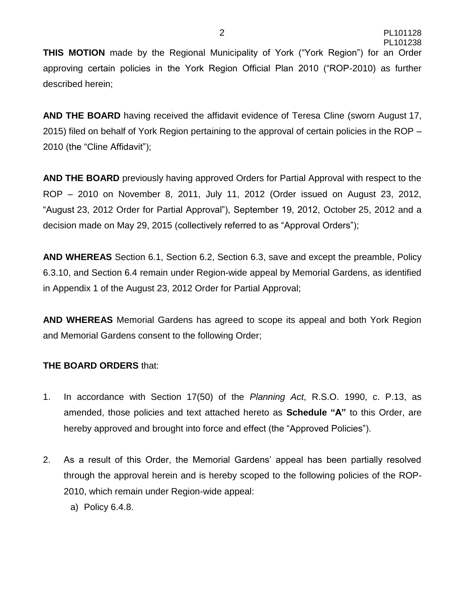**THIS MOTION** made by the Regional Municipality of York ("York Region") for an Order approving certain policies in the York Region Official Plan 2010 ("ROP-2010) as further described herein;

**AND THE BOARD** having received the affidavit evidence of Teresa Cline (sworn August 17, 2015) filed on behalf of York Region pertaining to the approval of certain policies in the ROP – 2010 (the "Cline Affidavit");

**AND THE BOARD** previously having approved Orders for Partial Approval with respect to the ROP – 2010 on November 8, 2011, July 11, 2012 (Order issued on August 23, 2012, "August 23, 2012 Order for Partial Approval"), September 19, 2012, October 25, 2012 and a decision made on May 29, 2015 (collectively referred to as "Approval Orders");

**AND WHEREAS** Section 6.1, Section 6.2, Section 6.3, save and except the preamble, Policy 6.3.10, and Section 6.4 remain under Region-wide appeal by Memorial Gardens, as identified in Appendix 1 of the August 23, 2012 Order for Partial Approval;

**AND WHEREAS** Memorial Gardens has agreed to scope its appeal and both York Region and Memorial Gardens consent to the following Order;

#### **THE BOARD ORDERS** that:

- 1. In accordance with Section 17(50) of the *Planning Act*, R.S.O. 1990, c. P.13, as amended, those policies and text attached hereto as **Schedule "A"** to this Order, are hereby approved and brought into force and effect (the "Approved Policies").
- 2. As a result of this Order, the Memorial Gardens' appeal has been partially resolved through the approval herein and is hereby scoped to the following policies of the ROP-2010, which remain under Region-wide appeal:
	- a) Policy 6.4.8.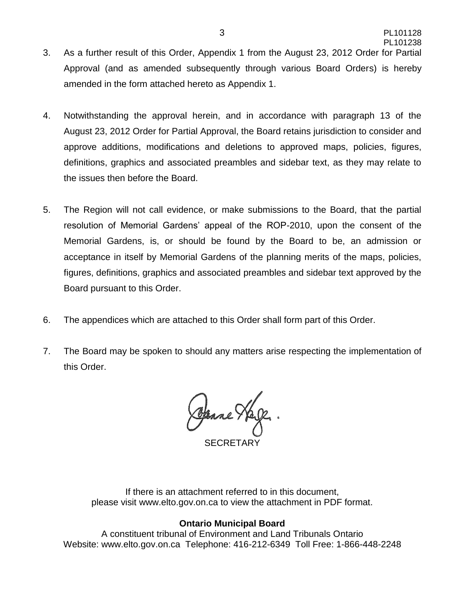- 3. As a further result of this Order, Appendix 1 from the August 23, 2012 Order for Partial Approval (and as amended subsequently through various Board Orders) is hereby amended in the form attached hereto as Appendix 1.
- 4. Notwithstanding the approval herein, and in accordance with paragraph 13 of the August 23, 2012 Order for Partial Approval, the Board retains jurisdiction to consider and approve additions, modifications and deletions to approved maps, policies, figures, definitions, graphics and associated preambles and sidebar text, as they may relate to the issues then before the Board.
- 5. The Region will not call evidence, or make submissions to the Board, that the partial resolution of Memorial Gardens' appeal of the ROP-2010, upon the consent of the Memorial Gardens, is, or should be found by the Board to be, an admission or acceptance in itself by Memorial Gardens of the planning merits of the maps, policies, figures, definitions, graphics and associated preambles and sidebar text approved by the Board pursuant to this Order.
- 6. The appendices which are attached to this Order shall form part of this Order.
- 7. The Board may be spoken to should any matters arise respecting the implementation of this Order.

Openne Hage

SECRETARY

If there is an attachment referred to in this document, please visit www.elto.gov.on.ca to view the attachment in PDF format.

#### **Ontario Municipal Board**

A constituent tribunal of Environment and Land Tribunals Ontario Website: www.elto.gov.on.ca Telephone: 416-212-6349 Toll Free: 1-866-448-2248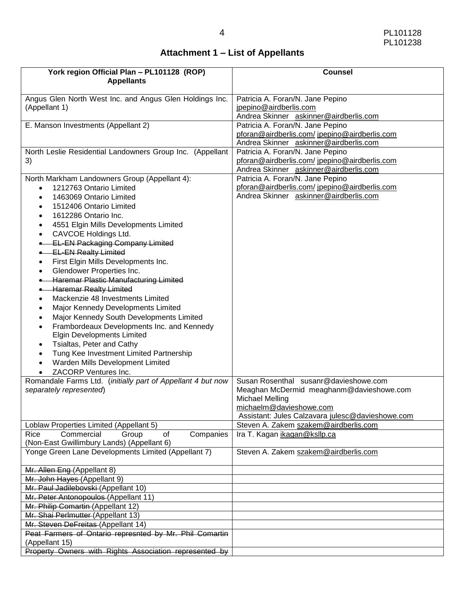# **Attachment 1 – List of Appellants**

| Angus Glen North West Inc. and Angus Glen Holdings Inc.<br>Patricia A. Foran/N. Jane Pepino<br>(Appellant 1)<br>jpepino@airdberlis.com<br>Andrea Skinner askinner@airdberlis.com<br>E. Manson Investments (Appellant 2)<br>Patricia A. Foran/N. Jane Pepino<br>pforan@airdberlis.com/jpepino@airdberlis.com<br>Andrea Skinner askinner@airdberlis.com<br>North Leslie Residential Landowners Group Inc. (Appellant<br>Patricia A. Foran/N. Jane Pepino<br>3)<br>pforan@airdberlis.com/jpepino@airdberlis.com<br>Andrea Skinner askinner@airdberlis.com<br>Patricia A. Foran/N. Jane Pepino<br>North Markham Landowners Group (Appellant 4):<br>pforan@airdberlis.com/jpepino@airdberlis.com<br>1212763 Ontario Limited<br>Andrea Skinner askinner@airdberlis.com<br>1463069 Ontario Limited<br>$\bullet$<br>1512406 Ontario Limited<br>$\bullet$<br>1612286 Ontario Inc.<br>$\bullet$<br>4551 Elgin Mills Developments Limited<br>٠<br>CAVCOE Holdings Ltd.<br>٠<br><b>EL-EN Packaging Company Limited</b><br><b>EL-EN Realty Limited</b><br>First Elgin Mills Developments Inc.<br>٠<br>Glendower Properties Inc.<br><b>Haremar Plastic Manufacturing Limited</b><br><b>Haremar Realty Limited</b><br>Mackenzie 48 Investments Limited<br>$\bullet$<br>Major Kennedy Developments Limited<br>٠<br>Major Kennedy South Developments Limited<br>٠<br>Frambordeaux Developments Inc. and Kennedy<br>$\bullet$<br><b>Elgin Developments Limited</b><br>Tsialtas, Peter and Cathy<br>٠<br>Tung Kee Investment Limited Partnership<br>$\bullet$<br>Warden Mills Development Limited<br>$\bullet$<br>ZACORP Ventures Inc.<br>Romandale Farms Ltd. (initially part of Appellant 4 but now<br>Susan Rosenthal susanr@davieshowe.com<br>Meaghan McDermid meaghanm@davieshowe.com<br>separately represented)<br>Michael Melling<br>michaelm@davieshowe.com<br>Assistant: Jules Calzavara julesc@davieshowe.com<br>Loblaw Properties Limited (Appellant 5)<br>Steven A. Zakem szakem@airdberlis.com<br>of<br>Companies<br>Rice<br>Commercial<br>Group<br>Ira T. Kagan ikagan@ksllp.ca<br>(Non-East Gwillimbury Lands) (Appellant 6)<br>Yonge Green Lane Developments Limited (Appellant 7)<br>Steven A. Zakem szakem@airdberlis.com<br>Mr. Allen Eng (Appellant 8)<br>Mr. John Hayes (Appellant 9)<br>Mr. Paul Jadilebovski (Appellant 10)<br>Mr. Peter Antonopoulos (Appellant 11)<br>Mr. Philip Comartin (Appellant 12)<br>Mr. Shai Perlmutter (Appellant 13)<br>Mr. Steven DeFreitas (Appellant 14)<br>Peat Farmers of Ontario represnted by Mr. Phil Comartin<br>(Appellant 15) | York region Official Plan - PL101128 (ROP)<br><b>Appellants</b> | <b>Counsel</b> |  |
|--------------------------------------------------------------------------------------------------------------------------------------------------------------------------------------------------------------------------------------------------------------------------------------------------------------------------------------------------------------------------------------------------------------------------------------------------------------------------------------------------------------------------------------------------------------------------------------------------------------------------------------------------------------------------------------------------------------------------------------------------------------------------------------------------------------------------------------------------------------------------------------------------------------------------------------------------------------------------------------------------------------------------------------------------------------------------------------------------------------------------------------------------------------------------------------------------------------------------------------------------------------------------------------------------------------------------------------------------------------------------------------------------------------------------------------------------------------------------------------------------------------------------------------------------------------------------------------------------------------------------------------------------------------------------------------------------------------------------------------------------------------------------------------------------------------------------------------------------------------------------------------------------------------------------------------------------------------------------------------------------------------------------------------------------------------------------------------------------------------------------------------------------------------------------------------------------------------------------------------------------------------------------------------------------------------------------------------------------------------------------------------------------------------------------------------------------------------------------------------------------------------------------------------------------------------------------|-----------------------------------------------------------------|----------------|--|
|                                                                                                                                                                                                                                                                                                                                                                                                                                                                                                                                                                                                                                                                                                                                                                                                                                                                                                                                                                                                                                                                                                                                                                                                                                                                                                                                                                                                                                                                                                                                                                                                                                                                                                                                                                                                                                                                                                                                                                                                                                                                                                                                                                                                                                                                                                                                                                                                                                                                                                                                                                          |                                                                 |                |  |
|                                                                                                                                                                                                                                                                                                                                                                                                                                                                                                                                                                                                                                                                                                                                                                                                                                                                                                                                                                                                                                                                                                                                                                                                                                                                                                                                                                                                                                                                                                                                                                                                                                                                                                                                                                                                                                                                                                                                                                                                                                                                                                                                                                                                                                                                                                                                                                                                                                                                                                                                                                          |                                                                 |                |  |
|                                                                                                                                                                                                                                                                                                                                                                                                                                                                                                                                                                                                                                                                                                                                                                                                                                                                                                                                                                                                                                                                                                                                                                                                                                                                                                                                                                                                                                                                                                                                                                                                                                                                                                                                                                                                                                                                                                                                                                                                                                                                                                                                                                                                                                                                                                                                                                                                                                                                                                                                                                          |                                                                 |                |  |
|                                                                                                                                                                                                                                                                                                                                                                                                                                                                                                                                                                                                                                                                                                                                                                                                                                                                                                                                                                                                                                                                                                                                                                                                                                                                                                                                                                                                                                                                                                                                                                                                                                                                                                                                                                                                                                                                                                                                                                                                                                                                                                                                                                                                                                                                                                                                                                                                                                                                                                                                                                          |                                                                 |                |  |
|                                                                                                                                                                                                                                                                                                                                                                                                                                                                                                                                                                                                                                                                                                                                                                                                                                                                                                                                                                                                                                                                                                                                                                                                                                                                                                                                                                                                                                                                                                                                                                                                                                                                                                                                                                                                                                                                                                                                                                                                                                                                                                                                                                                                                                                                                                                                                                                                                                                                                                                                                                          |                                                                 |                |  |
|                                                                                                                                                                                                                                                                                                                                                                                                                                                                                                                                                                                                                                                                                                                                                                                                                                                                                                                                                                                                                                                                                                                                                                                                                                                                                                                                                                                                                                                                                                                                                                                                                                                                                                                                                                                                                                                                                                                                                                                                                                                                                                                                                                                                                                                                                                                                                                                                                                                                                                                                                                          |                                                                 |                |  |
|                                                                                                                                                                                                                                                                                                                                                                                                                                                                                                                                                                                                                                                                                                                                                                                                                                                                                                                                                                                                                                                                                                                                                                                                                                                                                                                                                                                                                                                                                                                                                                                                                                                                                                                                                                                                                                                                                                                                                                                                                                                                                                                                                                                                                                                                                                                                                                                                                                                                                                                                                                          |                                                                 |                |  |
|                                                                                                                                                                                                                                                                                                                                                                                                                                                                                                                                                                                                                                                                                                                                                                                                                                                                                                                                                                                                                                                                                                                                                                                                                                                                                                                                                                                                                                                                                                                                                                                                                                                                                                                                                                                                                                                                                                                                                                                                                                                                                                                                                                                                                                                                                                                                                                                                                                                                                                                                                                          |                                                                 |                |  |
|                                                                                                                                                                                                                                                                                                                                                                                                                                                                                                                                                                                                                                                                                                                                                                                                                                                                                                                                                                                                                                                                                                                                                                                                                                                                                                                                                                                                                                                                                                                                                                                                                                                                                                                                                                                                                                                                                                                                                                                                                                                                                                                                                                                                                                                                                                                                                                                                                                                                                                                                                                          |                                                                 |                |  |
|                                                                                                                                                                                                                                                                                                                                                                                                                                                                                                                                                                                                                                                                                                                                                                                                                                                                                                                                                                                                                                                                                                                                                                                                                                                                                                                                                                                                                                                                                                                                                                                                                                                                                                                                                                                                                                                                                                                                                                                                                                                                                                                                                                                                                                                                                                                                                                                                                                                                                                                                                                          |                                                                 |                |  |
|                                                                                                                                                                                                                                                                                                                                                                                                                                                                                                                                                                                                                                                                                                                                                                                                                                                                                                                                                                                                                                                                                                                                                                                                                                                                                                                                                                                                                                                                                                                                                                                                                                                                                                                                                                                                                                                                                                                                                                                                                                                                                                                                                                                                                                                                                                                                                                                                                                                                                                                                                                          |                                                                 |                |  |
|                                                                                                                                                                                                                                                                                                                                                                                                                                                                                                                                                                                                                                                                                                                                                                                                                                                                                                                                                                                                                                                                                                                                                                                                                                                                                                                                                                                                                                                                                                                                                                                                                                                                                                                                                                                                                                                                                                                                                                                                                                                                                                                                                                                                                                                                                                                                                                                                                                                                                                                                                                          |                                                                 |                |  |
|                                                                                                                                                                                                                                                                                                                                                                                                                                                                                                                                                                                                                                                                                                                                                                                                                                                                                                                                                                                                                                                                                                                                                                                                                                                                                                                                                                                                                                                                                                                                                                                                                                                                                                                                                                                                                                                                                                                                                                                                                                                                                                                                                                                                                                                                                                                                                                                                                                                                                                                                                                          |                                                                 |                |  |
|                                                                                                                                                                                                                                                                                                                                                                                                                                                                                                                                                                                                                                                                                                                                                                                                                                                                                                                                                                                                                                                                                                                                                                                                                                                                                                                                                                                                                                                                                                                                                                                                                                                                                                                                                                                                                                                                                                                                                                                                                                                                                                                                                                                                                                                                                                                                                                                                                                                                                                                                                                          |                                                                 |                |  |
|                                                                                                                                                                                                                                                                                                                                                                                                                                                                                                                                                                                                                                                                                                                                                                                                                                                                                                                                                                                                                                                                                                                                                                                                                                                                                                                                                                                                                                                                                                                                                                                                                                                                                                                                                                                                                                                                                                                                                                                                                                                                                                                                                                                                                                                                                                                                                                                                                                                                                                                                                                          |                                                                 |                |  |
|                                                                                                                                                                                                                                                                                                                                                                                                                                                                                                                                                                                                                                                                                                                                                                                                                                                                                                                                                                                                                                                                                                                                                                                                                                                                                                                                                                                                                                                                                                                                                                                                                                                                                                                                                                                                                                                                                                                                                                                                                                                                                                                                                                                                                                                                                                                                                                                                                                                                                                                                                                          |                                                                 |                |  |
|                                                                                                                                                                                                                                                                                                                                                                                                                                                                                                                                                                                                                                                                                                                                                                                                                                                                                                                                                                                                                                                                                                                                                                                                                                                                                                                                                                                                                                                                                                                                                                                                                                                                                                                                                                                                                                                                                                                                                                                                                                                                                                                                                                                                                                                                                                                                                                                                                                                                                                                                                                          |                                                                 |                |  |
|                                                                                                                                                                                                                                                                                                                                                                                                                                                                                                                                                                                                                                                                                                                                                                                                                                                                                                                                                                                                                                                                                                                                                                                                                                                                                                                                                                                                                                                                                                                                                                                                                                                                                                                                                                                                                                                                                                                                                                                                                                                                                                                                                                                                                                                                                                                                                                                                                                                                                                                                                                          |                                                                 |                |  |
|                                                                                                                                                                                                                                                                                                                                                                                                                                                                                                                                                                                                                                                                                                                                                                                                                                                                                                                                                                                                                                                                                                                                                                                                                                                                                                                                                                                                                                                                                                                                                                                                                                                                                                                                                                                                                                                                                                                                                                                                                                                                                                                                                                                                                                                                                                                                                                                                                                                                                                                                                                          |                                                                 |                |  |
|                                                                                                                                                                                                                                                                                                                                                                                                                                                                                                                                                                                                                                                                                                                                                                                                                                                                                                                                                                                                                                                                                                                                                                                                                                                                                                                                                                                                                                                                                                                                                                                                                                                                                                                                                                                                                                                                                                                                                                                                                                                                                                                                                                                                                                                                                                                                                                                                                                                                                                                                                                          |                                                                 |                |  |
|                                                                                                                                                                                                                                                                                                                                                                                                                                                                                                                                                                                                                                                                                                                                                                                                                                                                                                                                                                                                                                                                                                                                                                                                                                                                                                                                                                                                                                                                                                                                                                                                                                                                                                                                                                                                                                                                                                                                                                                                                                                                                                                                                                                                                                                                                                                                                                                                                                                                                                                                                                          |                                                                 |                |  |
|                                                                                                                                                                                                                                                                                                                                                                                                                                                                                                                                                                                                                                                                                                                                                                                                                                                                                                                                                                                                                                                                                                                                                                                                                                                                                                                                                                                                                                                                                                                                                                                                                                                                                                                                                                                                                                                                                                                                                                                                                                                                                                                                                                                                                                                                                                                                                                                                                                                                                                                                                                          |                                                                 |                |  |
|                                                                                                                                                                                                                                                                                                                                                                                                                                                                                                                                                                                                                                                                                                                                                                                                                                                                                                                                                                                                                                                                                                                                                                                                                                                                                                                                                                                                                                                                                                                                                                                                                                                                                                                                                                                                                                                                                                                                                                                                                                                                                                                                                                                                                                                                                                                                                                                                                                                                                                                                                                          |                                                                 |                |  |
|                                                                                                                                                                                                                                                                                                                                                                                                                                                                                                                                                                                                                                                                                                                                                                                                                                                                                                                                                                                                                                                                                                                                                                                                                                                                                                                                                                                                                                                                                                                                                                                                                                                                                                                                                                                                                                                                                                                                                                                                                                                                                                                                                                                                                                                                                                                                                                                                                                                                                                                                                                          |                                                                 |                |  |
|                                                                                                                                                                                                                                                                                                                                                                                                                                                                                                                                                                                                                                                                                                                                                                                                                                                                                                                                                                                                                                                                                                                                                                                                                                                                                                                                                                                                                                                                                                                                                                                                                                                                                                                                                                                                                                                                                                                                                                                                                                                                                                                                                                                                                                                                                                                                                                                                                                                                                                                                                                          |                                                                 |                |  |
|                                                                                                                                                                                                                                                                                                                                                                                                                                                                                                                                                                                                                                                                                                                                                                                                                                                                                                                                                                                                                                                                                                                                                                                                                                                                                                                                                                                                                                                                                                                                                                                                                                                                                                                                                                                                                                                                                                                                                                                                                                                                                                                                                                                                                                                                                                                                                                                                                                                                                                                                                                          |                                                                 |                |  |
|                                                                                                                                                                                                                                                                                                                                                                                                                                                                                                                                                                                                                                                                                                                                                                                                                                                                                                                                                                                                                                                                                                                                                                                                                                                                                                                                                                                                                                                                                                                                                                                                                                                                                                                                                                                                                                                                                                                                                                                                                                                                                                                                                                                                                                                                                                                                                                                                                                                                                                                                                                          |                                                                 |                |  |
|                                                                                                                                                                                                                                                                                                                                                                                                                                                                                                                                                                                                                                                                                                                                                                                                                                                                                                                                                                                                                                                                                                                                                                                                                                                                                                                                                                                                                                                                                                                                                                                                                                                                                                                                                                                                                                                                                                                                                                                                                                                                                                                                                                                                                                                                                                                                                                                                                                                                                                                                                                          |                                                                 |                |  |
|                                                                                                                                                                                                                                                                                                                                                                                                                                                                                                                                                                                                                                                                                                                                                                                                                                                                                                                                                                                                                                                                                                                                                                                                                                                                                                                                                                                                                                                                                                                                                                                                                                                                                                                                                                                                                                                                                                                                                                                                                                                                                                                                                                                                                                                                                                                                                                                                                                                                                                                                                                          |                                                                 |                |  |
|                                                                                                                                                                                                                                                                                                                                                                                                                                                                                                                                                                                                                                                                                                                                                                                                                                                                                                                                                                                                                                                                                                                                                                                                                                                                                                                                                                                                                                                                                                                                                                                                                                                                                                                                                                                                                                                                                                                                                                                                                                                                                                                                                                                                                                                                                                                                                                                                                                                                                                                                                                          |                                                                 |                |  |
|                                                                                                                                                                                                                                                                                                                                                                                                                                                                                                                                                                                                                                                                                                                                                                                                                                                                                                                                                                                                                                                                                                                                                                                                                                                                                                                                                                                                                                                                                                                                                                                                                                                                                                                                                                                                                                                                                                                                                                                                                                                                                                                                                                                                                                                                                                                                                                                                                                                                                                                                                                          |                                                                 |                |  |
|                                                                                                                                                                                                                                                                                                                                                                                                                                                                                                                                                                                                                                                                                                                                                                                                                                                                                                                                                                                                                                                                                                                                                                                                                                                                                                                                                                                                                                                                                                                                                                                                                                                                                                                                                                                                                                                                                                                                                                                                                                                                                                                                                                                                                                                                                                                                                                                                                                                                                                                                                                          |                                                                 |                |  |
|                                                                                                                                                                                                                                                                                                                                                                                                                                                                                                                                                                                                                                                                                                                                                                                                                                                                                                                                                                                                                                                                                                                                                                                                                                                                                                                                                                                                                                                                                                                                                                                                                                                                                                                                                                                                                                                                                                                                                                                                                                                                                                                                                                                                                                                                                                                                                                                                                                                                                                                                                                          |                                                                 |                |  |
|                                                                                                                                                                                                                                                                                                                                                                                                                                                                                                                                                                                                                                                                                                                                                                                                                                                                                                                                                                                                                                                                                                                                                                                                                                                                                                                                                                                                                                                                                                                                                                                                                                                                                                                                                                                                                                                                                                                                                                                                                                                                                                                                                                                                                                                                                                                                                                                                                                                                                                                                                                          |                                                                 |                |  |
|                                                                                                                                                                                                                                                                                                                                                                                                                                                                                                                                                                                                                                                                                                                                                                                                                                                                                                                                                                                                                                                                                                                                                                                                                                                                                                                                                                                                                                                                                                                                                                                                                                                                                                                                                                                                                                                                                                                                                                                                                                                                                                                                                                                                                                                                                                                                                                                                                                                                                                                                                                          |                                                                 |                |  |
|                                                                                                                                                                                                                                                                                                                                                                                                                                                                                                                                                                                                                                                                                                                                                                                                                                                                                                                                                                                                                                                                                                                                                                                                                                                                                                                                                                                                                                                                                                                                                                                                                                                                                                                                                                                                                                                                                                                                                                                                                                                                                                                                                                                                                                                                                                                                                                                                                                                                                                                                                                          |                                                                 |                |  |
|                                                                                                                                                                                                                                                                                                                                                                                                                                                                                                                                                                                                                                                                                                                                                                                                                                                                                                                                                                                                                                                                                                                                                                                                                                                                                                                                                                                                                                                                                                                                                                                                                                                                                                                                                                                                                                                                                                                                                                                                                                                                                                                                                                                                                                                                                                                                                                                                                                                                                                                                                                          |                                                                 |                |  |
|                                                                                                                                                                                                                                                                                                                                                                                                                                                                                                                                                                                                                                                                                                                                                                                                                                                                                                                                                                                                                                                                                                                                                                                                                                                                                                                                                                                                                                                                                                                                                                                                                                                                                                                                                                                                                                                                                                                                                                                                                                                                                                                                                                                                                                                                                                                                                                                                                                                                                                                                                                          |                                                                 |                |  |
|                                                                                                                                                                                                                                                                                                                                                                                                                                                                                                                                                                                                                                                                                                                                                                                                                                                                                                                                                                                                                                                                                                                                                                                                                                                                                                                                                                                                                                                                                                                                                                                                                                                                                                                                                                                                                                                                                                                                                                                                                                                                                                                                                                                                                                                                                                                                                                                                                                                                                                                                                                          |                                                                 |                |  |
|                                                                                                                                                                                                                                                                                                                                                                                                                                                                                                                                                                                                                                                                                                                                                                                                                                                                                                                                                                                                                                                                                                                                                                                                                                                                                                                                                                                                                                                                                                                                                                                                                                                                                                                                                                                                                                                                                                                                                                                                                                                                                                                                                                                                                                                                                                                                                                                                                                                                                                                                                                          |                                                                 |                |  |
|                                                                                                                                                                                                                                                                                                                                                                                                                                                                                                                                                                                                                                                                                                                                                                                                                                                                                                                                                                                                                                                                                                                                                                                                                                                                                                                                                                                                                                                                                                                                                                                                                                                                                                                                                                                                                                                                                                                                                                                                                                                                                                                                                                                                                                                                                                                                                                                                                                                                                                                                                                          |                                                                 |                |  |
|                                                                                                                                                                                                                                                                                                                                                                                                                                                                                                                                                                                                                                                                                                                                                                                                                                                                                                                                                                                                                                                                                                                                                                                                                                                                                                                                                                                                                                                                                                                                                                                                                                                                                                                                                                                                                                                                                                                                                                                                                                                                                                                                                                                                                                                                                                                                                                                                                                                                                                                                                                          |                                                                 |                |  |
|                                                                                                                                                                                                                                                                                                                                                                                                                                                                                                                                                                                                                                                                                                                                                                                                                                                                                                                                                                                                                                                                                                                                                                                                                                                                                                                                                                                                                                                                                                                                                                                                                                                                                                                                                                                                                                                                                                                                                                                                                                                                                                                                                                                                                                                                                                                                                                                                                                                                                                                                                                          |                                                                 |                |  |
|                                                                                                                                                                                                                                                                                                                                                                                                                                                                                                                                                                                                                                                                                                                                                                                                                                                                                                                                                                                                                                                                                                                                                                                                                                                                                                                                                                                                                                                                                                                                                                                                                                                                                                                                                                                                                                                                                                                                                                                                                                                                                                                                                                                                                                                                                                                                                                                                                                                                                                                                                                          |                                                                 |                |  |
|                                                                                                                                                                                                                                                                                                                                                                                                                                                                                                                                                                                                                                                                                                                                                                                                                                                                                                                                                                                                                                                                                                                                                                                                                                                                                                                                                                                                                                                                                                                                                                                                                                                                                                                                                                                                                                                                                                                                                                                                                                                                                                                                                                                                                                                                                                                                                                                                                                                                                                                                                                          |                                                                 |                |  |
|                                                                                                                                                                                                                                                                                                                                                                                                                                                                                                                                                                                                                                                                                                                                                                                                                                                                                                                                                                                                                                                                                                                                                                                                                                                                                                                                                                                                                                                                                                                                                                                                                                                                                                                                                                                                                                                                                                                                                                                                                                                                                                                                                                                                                                                                                                                                                                                                                                                                                                                                                                          |                                                                 |                |  |
|                                                                                                                                                                                                                                                                                                                                                                                                                                                                                                                                                                                                                                                                                                                                                                                                                                                                                                                                                                                                                                                                                                                                                                                                                                                                                                                                                                                                                                                                                                                                                                                                                                                                                                                                                                                                                                                                                                                                                                                                                                                                                                                                                                                                                                                                                                                                                                                                                                                                                                                                                                          | Property Owners with Rights Association represented by          |                |  |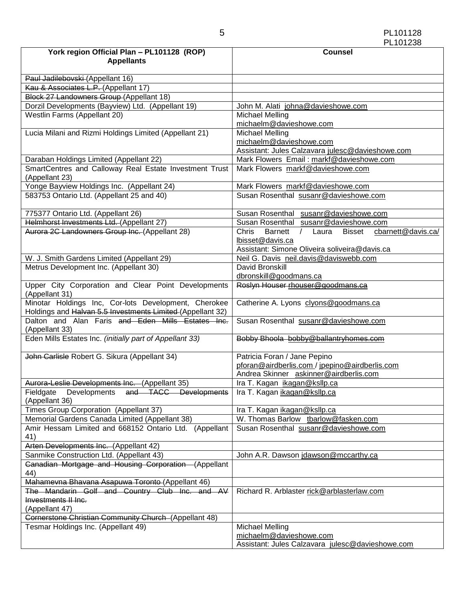| York region Official Plan - PL101128 (ROP)<br><b>Appellants</b>                                                    | <b>Counsel</b>                                                                        |  |
|--------------------------------------------------------------------------------------------------------------------|---------------------------------------------------------------------------------------|--|
|                                                                                                                    |                                                                                       |  |
| Paul Jadilebovski (Appellant 16)                                                                                   |                                                                                       |  |
| Kau & Associates L.P. (Appellant 17)                                                                               |                                                                                       |  |
| Block 27 Landowners Group (Appellant 18)                                                                           |                                                                                       |  |
| Dorzil Developments (Bayview) Ltd. (Appellant 19)<br>Westlin Farms (Appellant 20)                                  | John M. Alati johna@davieshowe.com<br>Michael Melling                                 |  |
|                                                                                                                    | michaelm@davieshowe.com                                                               |  |
| Lucia Milani and Rizmi Holdings Limited (Appellant 21)                                                             | <b>Michael Melling</b>                                                                |  |
|                                                                                                                    | michaelm@davieshowe.com                                                               |  |
|                                                                                                                    | Assistant: Jules Calzavara julesc@davieshowe.com                                      |  |
| Daraban Holdings Limited (Appellant 22)                                                                            | Mark Flowers Email: markf@davieshowe.com                                              |  |
| SmartCentres and Calloway Real Estate Investment Trust                                                             | Mark Flowers markf@davieshowe.com                                                     |  |
| (Appellant 23)                                                                                                     |                                                                                       |  |
| Yonge Bayview Holdings Inc. (Appellant 24)                                                                         | Mark Flowers markf@davieshowe.com                                                     |  |
| 583753 Ontario Ltd. (Appellant 25 and 40)                                                                          | Susan Rosenthal susanr@davieshowe.com                                                 |  |
|                                                                                                                    |                                                                                       |  |
| 775377 Ontario Ltd. (Appellant 26)                                                                                 | Susan Rosenthal susanr@davieshowe.com                                                 |  |
| Helmhorst Investments Ltd. (Appellant 27)                                                                          | Susan Rosenthal susanr@davieshowe.com                                                 |  |
| Aurora 2C Landowners Group Inc. (Appellant 28)                                                                     | Barnett<br>cbarnett@davis.ca/<br><b>Chris</b><br><b>Bisset</b><br>$\sqrt{2}$<br>Laura |  |
|                                                                                                                    | lbisset@davis.ca<br>Assistant: Simone Oliveira soliveira@davis.ca                     |  |
| W. J. Smith Gardens Limited (Appellant 29)                                                                         | Neil G. Davis neil.davis@daviswebb.com                                                |  |
| Metrus Development Inc. (Appellant 30)                                                                             | David Bronskill                                                                       |  |
|                                                                                                                    | dbronskill@goodmans.ca                                                                |  |
| Upper City Corporation and Clear Point Developments<br>(Appellant 31)                                              | Roslyn Houser rhouser@goodmans.ca                                                     |  |
| Minotar Holdings Inc, Cor-lots Development, Cherokee<br>Holdings and Halvan 5.5 Investments Limited (Appellant 32) | Catherine A. Lyons clyons@goodmans.ca                                                 |  |
| Dalton and Alan Faris and Eden Mills Estates Inc.<br>(Appellant 33)                                                | Susan Rosenthal susanr@davieshowe.com                                                 |  |
| Eden Mills Estates Inc. (initially part of Appellant 33)                                                           | Bobby Bhoola bobby@ballantryhomes.com                                                 |  |
| John Carlisle Robert G. Sikura (Appellant 34)                                                                      | Patricia Foran / Jane Pepino                                                          |  |
|                                                                                                                    | pforan@airdberlis.com / jpepino@airdberlis.com                                        |  |
|                                                                                                                    | Andrea Skinner askinner@airdberlis.com                                                |  |
| Aurora-Leslie Developments Inc. (Appellant 35)<br>Fieldgate<br>Developments<br>and TACC Developments               | Ira T. Kagan ikagan@ksllp.ca<br>Ira T. Kagan ikagan@ksllp.ca                          |  |
| (Appellant 36)                                                                                                     |                                                                                       |  |
| Times Group Corporation (Appellant 37)                                                                             | Ira T. Kagan ikagan@ksllp.ca                                                          |  |
| Memorial Gardens Canada Limited (Appellant 38)                                                                     | W. Thomas Barlow tbarlow@fasken.com                                                   |  |
| Amir Hessam Limited and 668152 Ontario Ltd. (Appellant<br>41)                                                      | Susan Rosenthal susanr@davieshowe.com                                                 |  |
| Arten Developments Inc. (Appellant 42)                                                                             |                                                                                       |  |
| Sanmike Construction Ltd. (Appellant 43)                                                                           | John A.R. Dawson jdawson@mccarthy.ca                                                  |  |
| Canadian Mortgage and Housing Corporation (Appellant<br>44)                                                        |                                                                                       |  |
| Mahamevna Bhavana Asapuwa Toronto (Appellant 46)                                                                   |                                                                                       |  |
| The Mandarin Golf and Country Club Inc. and AV                                                                     | Richard R. Arblaster rick@arblasterlaw.com                                            |  |
| Investments II Inc.                                                                                                |                                                                                       |  |
| (Appellant 47)                                                                                                     |                                                                                       |  |
| Cornerstone Christian Community Church (Appellant 48)<br>Tesmar Holdings Inc. (Appellant 49)                       | Michael Melling                                                                       |  |
|                                                                                                                    | michaelm@davieshowe.com                                                               |  |
|                                                                                                                    | Assistant: Jules Calzavara julesc@davieshowe.com                                      |  |
|                                                                                                                    |                                                                                       |  |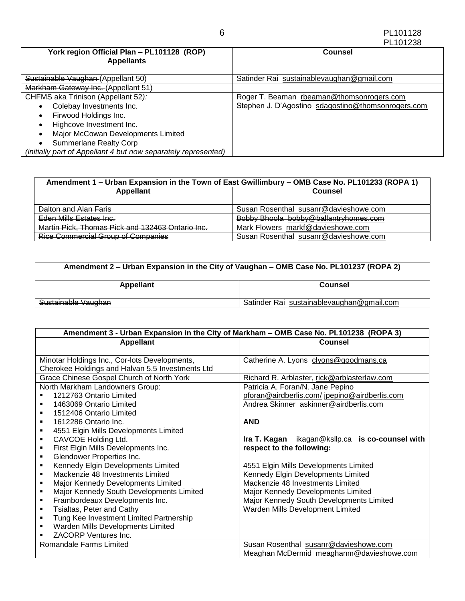|                                                                 | PL101238                                           |
|-----------------------------------------------------------------|----------------------------------------------------|
| York region Official Plan - PL101128 (ROP)<br><b>Appellants</b> | <b>Counsel</b>                                     |
| Sustainable Vaughan (Appellant 50)                              | Satinder Rai sustainablevaughan@gmail.com          |
| Markham Gateway Inc. (Appellant 51)                             |                                                    |
| CHFMS aka Trinison (Appellant 52):                              | Roger T. Beaman rbeaman@thomsonrogers.com          |
| Colebay Investments Inc.                                        | Stephen J. D'Agostino sdagostino@thomsonrogers.com |
| Firwood Holdings Inc.                                           |                                                    |
| Highcove Investment Inc.                                        |                                                    |
| Major McCowan Developments Limited                              |                                                    |
| <b>Summerlane Realty Corp</b>                                   |                                                    |
| (initially part of Appellant 4 but now separately represented)  |                                                    |

| Amendment 1 – Urban Expansion in the Town of East Gwillimbury – OMB Case No. PL101233 (ROPA 1) |                                       |  |
|------------------------------------------------------------------------------------------------|---------------------------------------|--|
| <b>Appellant</b><br>Counsel                                                                    |                                       |  |
|                                                                                                |                                       |  |
| Dalton and Alan Faris                                                                          | Susan Rosenthal susanr@davieshowe.com |  |
| Eden Mills Estates Inc.                                                                        | Bobby Bhoola bobby@ballantryhomes.com |  |
| Martin Pick, Thomas Pick and 132463 Ontario Inc.                                               | Mark Flowers markf@davieshowe.com     |  |
| <b>Rice Commercial Group of Companies</b>                                                      | Susan Rosenthal susanr@davieshowe.com |  |

| Amendment 2 – Urban Expansion in the City of Vaughan – OMB Case No. PL101237 (ROPA 2) |                                           |  |
|---------------------------------------------------------------------------------------|-------------------------------------------|--|
| Appellant                                                                             | <b>Counsel</b>                            |  |
| Sustainable Vaughan                                                                   | Satinder Rai sustainablevaughan@gmail.com |  |

| Amendment 3 - Urban Expansion in the City of Markham - OMB Case No. PL101238 (ROPA 3) |                                                    |  |
|---------------------------------------------------------------------------------------|----------------------------------------------------|--|
| <b>Appellant</b>                                                                      | <b>Counsel</b>                                     |  |
|                                                                                       |                                                    |  |
| Minotar Holdings Inc., Cor-lots Developments,                                         | Catherine A. Lyons clyons@goodmans.ca              |  |
| Cherokee Holdings and Halvan 5.5 Investments Ltd                                      |                                                    |  |
| Grace Chinese Gospel Church of North York                                             | Richard R. Arblaster, rick@arblasterlaw.com        |  |
| North Markham Landowners Group:                                                       | Patricia A. Foran/N. Jane Pepino                   |  |
| 1212763 Ontario Limited                                                               | pforan@airdberlis.com/jpepino@airdberlis.com       |  |
| 1463069 Ontario Limited                                                               | Andrea Skinner askinner@airdberlis.com             |  |
| 1512406 Ontario Limited                                                               |                                                    |  |
| 1612286 Ontario Inc.<br>٠                                                             | <b>AND</b>                                         |  |
| 4551 Elgin Mills Developments Limited                                                 |                                                    |  |
| CAVCOE Holding Ltd.<br>٠                                                              | ikagan@ksllp.ca is co-counsel with<br>Ira T. Kagan |  |
| First Elgin Mills Developments Inc.<br>٠                                              | respect to the following:                          |  |
| Glendower Properties Inc.                                                             |                                                    |  |
| Kennedy Elgin Developments Limited<br>٠                                               | 4551 Elgin Mills Developments Limited              |  |
| Mackenzie 48 Investments Limited<br>٠                                                 | Kennedy Elgin Developments Limited                 |  |
| Major Kennedy Developments Limited<br>٠                                               | Mackenzie 48 Investments Limited                   |  |
| Major Kennedy South Developments Limited                                              | Major Kennedy Developments Limited                 |  |
| Frambordeaux Developments Inc.<br>٠                                                   | Major Kennedy South Developments Limited           |  |
| Tsialtas, Peter and Cathy<br>٠                                                        | Warden Mills Development Limited                   |  |
| Tung Kee Investment Limited Partnership<br>٠                                          |                                                    |  |
| Warden Mills Developments Limited<br>٠                                                |                                                    |  |
| ZACORP Ventures Inc.                                                                  |                                                    |  |
| Romandale Farms Limited                                                               | Susan Rosenthal susanr@davieshowe.com              |  |
|                                                                                       | Meaghan McDermid meaghanm@davieshowe.com           |  |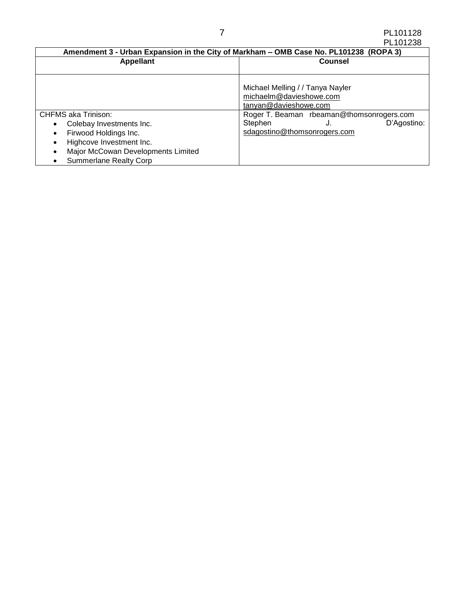| Amendment 3 - Urban Expansion in the City of Markham - OMB Case No. PL101238 (ROPA 3) |                                                                                      |  |
|---------------------------------------------------------------------------------------|--------------------------------------------------------------------------------------|--|
| <b>Appellant</b>                                                                      | <b>Counsel</b>                                                                       |  |
|                                                                                       |                                                                                      |  |
|                                                                                       | Michael Melling / / Tanya Nayler<br>michaelm@davieshowe.com<br>tanyan@davieshowe.com |  |
| <b>CHFMS aka Trinison:</b>                                                            | Roger T. Beaman rbeaman@thomsonrogers.com                                            |  |
| Colebay Investments Inc.<br>٠                                                         | Stephen<br>D'Agostino:<br>J.                                                         |  |
| Firwood Holdings Inc.<br>٠                                                            | sdagostino@thomsonrogers.com                                                         |  |
| Highcove Investment Inc.                                                              |                                                                                      |  |
| Major McCowan Developments Limited                                                    |                                                                                      |  |
| <b>Summerlane Realty Corp</b>                                                         |                                                                                      |  |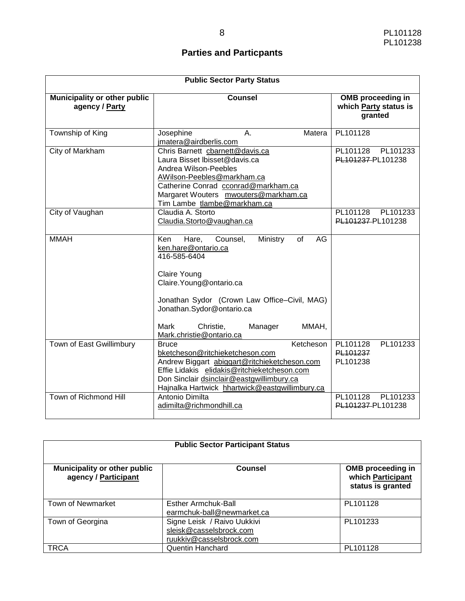# **Parties and Particpants**

| <b>Public Sector Party Status</b>                     |                                                                                                                                                                                                                                                                                              |                                                              |
|-------------------------------------------------------|----------------------------------------------------------------------------------------------------------------------------------------------------------------------------------------------------------------------------------------------------------------------------------------------|--------------------------------------------------------------|
| <b>Municipality or other public</b><br>agency / Party | <b>Counsel</b>                                                                                                                                                                                                                                                                               | <b>OMB</b> proceeding in<br>which Party status is<br>granted |
| Township of King                                      | Josephine<br>Α.<br>Matera<br>jmatera@airdberlis.com                                                                                                                                                                                                                                          | PL101128                                                     |
| <b>City of Markham</b>                                | Chris Barnett cbarnett@davis.ca<br>Laura Bisset Ibisset@davis.ca<br>Andrea Wilson-Peebles<br>AWilson-Peebles@markham.ca<br>Catherine Conrad cconrad@markham.ca<br>Margaret Wouters mwouters@markham.ca<br>Tim Lambe tlambe@markham.ca                                                        | PL101128<br>PL101233<br>PL101237-PL101238                    |
| City of Vaughan                                       | Claudia A. Storto<br>Claudia.Storto@vaughan.ca                                                                                                                                                                                                                                               | PL101128<br>PL101233<br>PL101237-PL101238                    |
| <b>MMAH</b>                                           | Hare,<br>Counsel,<br>Ministry<br>of<br>AG<br>Ken<br>ken.hare@ontario.ca<br>416-585-6404<br><b>Claire Young</b><br>Claire. Young@ontario.ca<br>Jonathan Sydor (Crown Law Office-Civil, MAG)<br>Jonathan.Sydor@ontario.ca<br>MMAH,<br>Mark<br>Christie,<br>Manager<br>Mark.christie@ontario.ca |                                                              |
| Town of East Gwillimbury                              | Ketcheson<br><b>Bruce</b><br>bketcheson@ritchieketcheson.com<br>Andrew Biggart abiggart@ritchieketcheson.com<br>Effie Lidakis elidakis@ritchieketcheson.com<br>Don Sinclair dsinclair@eastgwillimbury.ca<br>Hajnalka Hartwick hhartwick@eastgwillimbury.ca                                   | PL101128<br>PL101233<br>PL101237<br>PL101238                 |
| Town of Richmond Hill                                 | Antonio Dimilta<br>adimilta@richmondhill.ca                                                                                                                                                                                                                                                  | PL101128<br>PL101233<br>PL101237-PL101238                    |

| <b>Public Sector Participant Status</b>              |                                                                                    |                                                                    |
|------------------------------------------------------|------------------------------------------------------------------------------------|--------------------------------------------------------------------|
| Municipality or other public<br>agency / Participant | Counsel                                                                            | <b>OMB</b> proceeding in<br>which Participant<br>status is granted |
| <b>Town of Newmarket</b>                             | Esther Armchuk-Ball<br>earmchuk-ball@newmarket.ca                                  | PL101128                                                           |
| Town of Georgina                                     | Signe Leisk / Raivo Uukkivi<br>sleisk@casselsbrock.com<br>ruukkiv@casselsbrock.com | PL101233                                                           |
| TRCA                                                 | <b>Quentin Hanchard</b>                                                            | PL101128                                                           |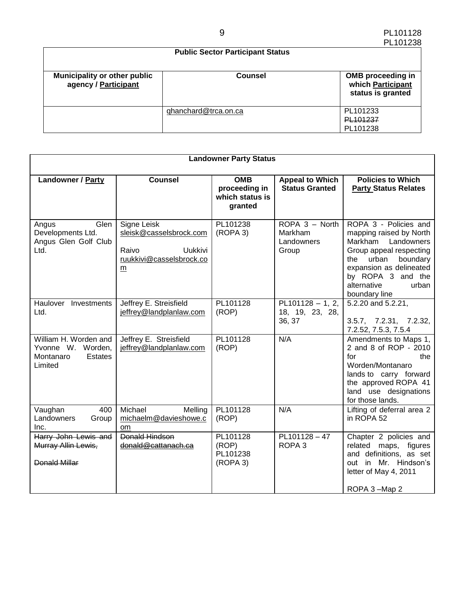| .<br><b>Public Sector Participant Status</b>                |                      |                                                                    |
|-------------------------------------------------------------|----------------------|--------------------------------------------------------------------|
| <b>Municipality or other public</b><br>agency / Participant | Counsel              | <b>OMB</b> proceeding in<br>which Participant<br>status is granted |
|                                                             | qhanchard@trca.on.ca | PL101233<br>PL101237<br>PL101238                                   |

| <b>Landowner Party Status</b>                                                        |                                                                                             |                                                           |                                                  |                                                                                                                                                                                                                        |
|--------------------------------------------------------------------------------------|---------------------------------------------------------------------------------------------|-----------------------------------------------------------|--------------------------------------------------|------------------------------------------------------------------------------------------------------------------------------------------------------------------------------------------------------------------------|
| <b>Landowner / Party</b>                                                             | <b>Counsel</b>                                                                              | <b>OMB</b><br>proceeding in<br>which status is<br>granted | <b>Appeal to Which</b><br><b>Status Granted</b>  | <b>Policies to Which</b><br><b>Party Status Relates</b>                                                                                                                                                                |
| Glen<br>Angus<br>Developments Ltd.<br>Angus Glen Golf Club<br>Ltd.                   | Signe Leisk<br>sleisk@casselsbrock.com<br>Raivo<br>Uukkivi<br>ruukkivi@casselsbrock.co<br>m | PL101238<br>(ROPA <sub>3</sub> )                          | ROPA 3 - North<br>Markham<br>Landowners<br>Group | ROPA 3 - Policies and<br>mapping raised by North<br>Markham Landowners<br>Group appeal respecting<br>urban<br>boundary<br>the<br>expansion as delineated<br>by ROPA 3 and the<br>alternative<br>urban<br>boundary line |
| Haulover Investments<br>Ltd.                                                         | Jeffrey E. Streisfield<br>jeffrey@landplanlaw.com                                           | PL101128<br>(ROP)                                         | $PL101128 - 1, 2,$<br>18, 19, 23, 28,<br>36, 37  | 5.2.20 and 5.2.21,<br>3.5.7, 7.2.31, 7.2.32,<br>7.2.52, 7.5.3, 7.5.4                                                                                                                                                   |
| William H. Worden and<br>Yvonne W. Worden,<br><b>Estates</b><br>Montanaro<br>Limited | Jeffrey E. Streisfield<br>jeffrey@landplanlaw.com                                           | PL101128<br>(ROP)                                         | N/A                                              | Amendments to Maps 1,<br>2 and 8 of ROP - 2010<br>for<br>the<br>Worden/Montanaro<br>lands to carry forward<br>the approved ROPA 41<br>land use designations<br>for those lands.                                        |
| Vaughan<br>400<br>Landowners<br>Group<br>Inc.                                        | Michael<br>Melling<br>michaelm@davieshowe.c<br><sub>om</sub>                                | PL101128<br>(ROP)                                         | N/A                                              | Lifting of deferral area 2<br>in ROPA 52                                                                                                                                                                               |
| Harry John Lewis and<br>Murray Allin Lewis,<br><b>Donald Millar</b>                  | <b>Donald Hindson</b><br>donald@cattanach.ca                                                | PL101128<br>(ROP)<br>PL101238<br>(ROPA 3)                 | PL101128-47<br>ROPA <sub>3</sub>                 | Chapter 2 policies and<br>related maps, figures<br>and definitions, as set<br>out in Mr. Hindson's<br>letter of May 4, 2011<br>ROPA 3-Map 2                                                                            |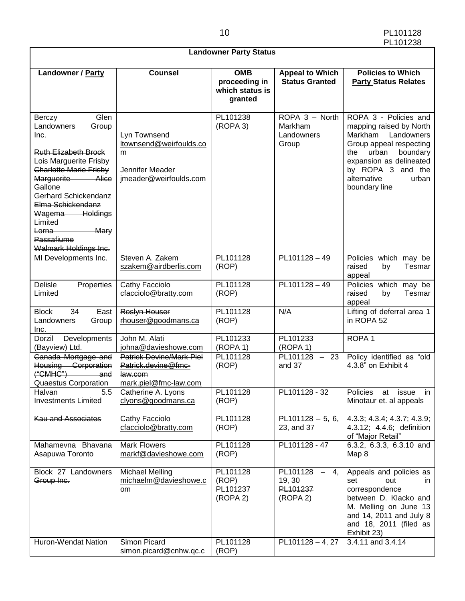|                                                                                                                                                                                                                                                                                                           | <b>Landowner Party Status</b>                                                              |                                                           |                                                                          |                                                                                                                                                                                                                           |  |  |  |
|-----------------------------------------------------------------------------------------------------------------------------------------------------------------------------------------------------------------------------------------------------------------------------------------------------------|--------------------------------------------------------------------------------------------|-----------------------------------------------------------|--------------------------------------------------------------------------|---------------------------------------------------------------------------------------------------------------------------------------------------------------------------------------------------------------------------|--|--|--|
| Landowner / Party                                                                                                                                                                                                                                                                                         | <b>Counsel</b>                                                                             | <b>OMB</b><br>proceeding in<br>which status is<br>granted | <b>Appeal to Which</b><br><b>Status Granted</b>                          | <b>Policies to Which</b><br><b>Party Status Relates</b>                                                                                                                                                                   |  |  |  |
| Glen<br>Berczy<br>Group<br>Landowners<br>Inc.<br><b>Ruth Elizabeth Brock</b><br>Lois Marguerite Frisby<br>Charlotte Marie Frisby<br>Marguerite Alice<br>Gallone<br>Gerhard Schickendanz<br>Elma Schickendanz<br>Wagema Holdings<br>Limited<br>Lorna<br><b>Mary</b><br>Passafiume<br>Walmark Holdings Inc. | Lyn Townsend<br>Itownsend@weirfoulds.co<br>m<br>Jennifer Meader<br>imeader@weirfoulds.com  | PL101238<br>(ROPA 3)                                      | ROPA 3 - North<br>Markham<br>Landowners<br>Group                         | ROPA 3 - Policies and<br>mapping raised by North<br>Markham<br>Landowners<br>Group appeal respecting<br>urban<br>boundary<br>the<br>expansion as delineated<br>by ROPA 3 and the<br>alternative<br>urban<br>boundary line |  |  |  |
| MI Developments Inc.                                                                                                                                                                                                                                                                                      | Steven A. Zakem<br>szakem@airdberlis.com                                                   | PL101128<br>(ROP)                                         | PL101128-49                                                              | Policies which may be<br>raised<br>Tesmar<br>by<br>appeal                                                                                                                                                                 |  |  |  |
| <b>Delisle</b><br>Properties<br>Limited                                                                                                                                                                                                                                                                   | Cathy Facciolo<br>cfacciolo@bratty.com                                                     | PL101128<br>(ROP)                                         | PL101128-49                                                              | Policies which may be<br>Tesmar<br>raised<br>by<br>appeal                                                                                                                                                                 |  |  |  |
| 34<br><b>Block</b><br>East<br>Landowners<br>Group<br>Inc.                                                                                                                                                                                                                                                 | Roslyn Houser<br>rhouser@goodmans.ca                                                       | PL101128<br>(ROP)                                         | N/A                                                                      | Lifting of deferral area 1<br>in ROPA 52                                                                                                                                                                                  |  |  |  |
| Developments<br>Dorzil<br>(Bayview) Ltd.                                                                                                                                                                                                                                                                  | John M. Alati<br>johna@davieshowe.com                                                      | PL101233<br>(ROPA 1)                                      | PL101233<br>(ROPA 1)                                                     | ROPA <sub>1</sub>                                                                                                                                                                                                         |  |  |  |
| Canada Mortgage and<br>Housing Corporation<br>("CMHC")<br>and<br>Quaestus Corporation                                                                                                                                                                                                                     | <b>Patrick Devine/Mark Piel</b><br>Patrick.devine@fmc-<br>law.com<br>mark.piel@fmc-law.com | PL101128<br>(ROP)                                         | PL101128 -<br>- 23<br>and 37                                             | Policy identified as "old<br>4.3.8" on Exhibit 4                                                                                                                                                                          |  |  |  |
| Halvan<br>5.5<br><b>Investments Limited</b>                                                                                                                                                                                                                                                               | Catherine A. Lyons<br>clyons@goodmans.ca                                                   | PL101128<br>(ROP)                                         | PL101128 - 32                                                            | Policies<br>at issue in<br>Minotaur et. al appeals                                                                                                                                                                        |  |  |  |
| <b>Kau and Associates</b>                                                                                                                                                                                                                                                                                 | Cathy Facciolo<br>cfacciolo@bratty.com                                                     | PL101128<br>(ROP)                                         | $PL101128 - 5, 6,$<br>23, and 37                                         | 4.3.3; 4.3.4; 4.3.7; 4.3.9;<br>4.3.12; 4.4.6; definition<br>of "Major Retail"                                                                                                                                             |  |  |  |
| Mahamevna Bhavana<br>Asapuwa Toronto                                                                                                                                                                                                                                                                      | <b>Mark Flowers</b><br>markf@davieshowe.com                                                | PL101128<br>(ROP)                                         | PL101128 - 47                                                            | 6.3.2, 6.3.3, 6.3.10 and<br>Map 8                                                                                                                                                                                         |  |  |  |
| Block 27 Landowners<br>Group Inc.                                                                                                                                                                                                                                                                         | <b>Michael Melling</b><br>michaelm@davieshowe.c<br>om                                      | PL101128<br>(ROP)<br>PL101237<br>(ROPA 2)                 | PL101128<br>4,<br>$\sim$ .<br>19, 30<br>PL101237<br>(ROPA <sub>2</sub> ) | Appeals and policies as<br>set<br>out<br>in.<br>correspondence<br>between D. Klacko and<br>M. Melling on June 13<br>and 14, 2011 and July 8<br>and 18, 2011 (filed as<br>Exhibit 23)                                      |  |  |  |
| Huron-Wendat Nation                                                                                                                                                                                                                                                                                       | Simon Picard<br>simon.picard@cnhw.qc.c                                                     | PL101128<br>(ROP)                                         | PL101128-4, 27                                                           | 3.4.11 and 3.4.14                                                                                                                                                                                                         |  |  |  |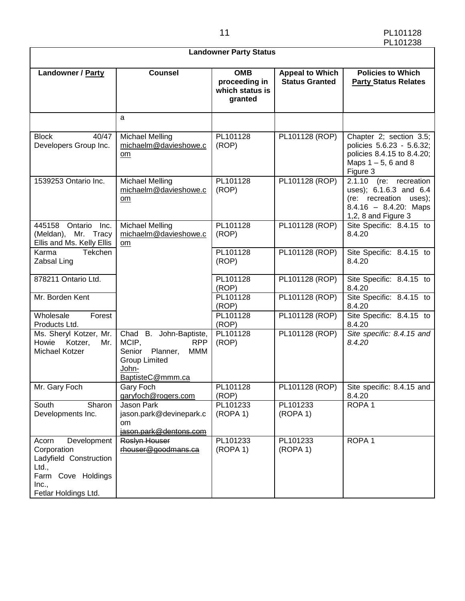| <b>Landowner Party Status</b>                                                                                                 |                                                                                                                              |                                                           |                                                 |                                                                                                                                 |  |
|-------------------------------------------------------------------------------------------------------------------------------|------------------------------------------------------------------------------------------------------------------------------|-----------------------------------------------------------|-------------------------------------------------|---------------------------------------------------------------------------------------------------------------------------------|--|
| Landowner / Party                                                                                                             | <b>Counsel</b>                                                                                                               | <b>OMB</b><br>proceeding in<br>which status is<br>granted | <b>Appeal to Which</b><br><b>Status Granted</b> | <b>Policies to Which</b><br><b>Party Status Relates</b>                                                                         |  |
|                                                                                                                               | a                                                                                                                            |                                                           |                                                 |                                                                                                                                 |  |
| <b>Block</b><br>40/47<br>Developers Group Inc.                                                                                | <b>Michael Melling</b><br>michaelm@davieshowe.c<br>om                                                                        | PL101128<br>(ROP)                                         | PL101128 (ROP)                                  | Chapter 2; section 3.5;<br>policies 5.6.23 - 5.6.32;<br>policies 8.4.15 to 8.4.20;<br>Maps $1-5$ , 6 and 8<br>Figure 3          |  |
| 1539253 Ontario Inc.                                                                                                          | <b>Michael Melling</b><br>michaelm@davieshowe.c<br>om                                                                        | PL101128<br>(ROP)                                         | PL101128 (ROP)                                  | $2.1.10$ (re: recreation<br>uses); 6.1.6.3 and 6.4<br>(re: recreation uses);<br>$8.4.16 - 8.4.20$ : Maps<br>1,2, 8 and Figure 3 |  |
| 445158 Ontario Inc.<br>(Meldan), Mr. Tracy<br>Ellis and Ms. Kelly Ellis                                                       | <b>Michael Melling</b><br>michaelm@davieshowe.c<br>om                                                                        | PL101128<br>(ROP)                                         | PL101128 (ROP)                                  | Site Specific: 8.4.15 to<br>8.4.20                                                                                              |  |
| Tekchen<br>Karma<br>Zabsal Ling                                                                                               |                                                                                                                              | PL101128<br>(ROP)                                         | PL101128 (ROP)                                  | Site Specific: 8.4.15 to<br>8.4.20                                                                                              |  |
| 878211 Ontario Ltd.                                                                                                           |                                                                                                                              | PL101128<br>(ROP)                                         | PL101128 (ROP)                                  | Site Specific: 8.4.15 to<br>8.4.20                                                                                              |  |
| Mr. Borden Kent                                                                                                               |                                                                                                                              | PL101128<br>(ROP)                                         | PL101128 (ROP)                                  | Site Specific: 8.4.15 to<br>8.4.20                                                                                              |  |
| Wholesale<br>Forest<br>Products Ltd.                                                                                          |                                                                                                                              | PL101128<br>(ROP)                                         | PL101128 (ROP)                                  | Site Specific: 8.4.15 to<br>8.4.20                                                                                              |  |
| Ms. Sheryl Kotzer, Mr.<br>Howie<br>Kotzer,<br>Mr.<br>Michael Kotzer                                                           | Chad B. John-Baptiste,<br>MCIP,<br><b>RPP</b><br>Senior Planner,<br>MMM<br><b>Group Limited</b><br>John-<br>BaptisteC@mmm.ca | PL101128<br>(ROP)                                         | PL101128 (ROP)                                  | Site specific: 8.4.15 and<br>8.4.20                                                                                             |  |
| Mr. Gary Foch                                                                                                                 | Gary Foch<br>garyfoch@rogers.com                                                                                             | PL101128<br>(ROP)                                         |                                                 | PL101128 (ROP) Site specific: 8.4.15 and<br>8.4.20                                                                              |  |
| South<br>Sharon<br>Developments Inc.                                                                                          | Jason Park<br>jason.park@devinepark.c<br>om.<br>jason.park@dentons.com                                                       | PL101233<br>(ROPA 1)                                      | PL101233<br>(ROPA 1)                            | ROPA <sub>1</sub>                                                                                                               |  |
| Development<br>Acorn<br>Corporation<br>Ladyfield Construction<br>Ltd.,<br>Farm Cove Holdings<br>Inc.,<br>Fetlar Holdings Ltd. | Roslyn Houser<br>rhouser@goodmans.ca                                                                                         | PL101233<br>(ROPA 1)                                      | PL101233<br>(ROPA 1)                            | ROPA <sub>1</sub>                                                                                                               |  |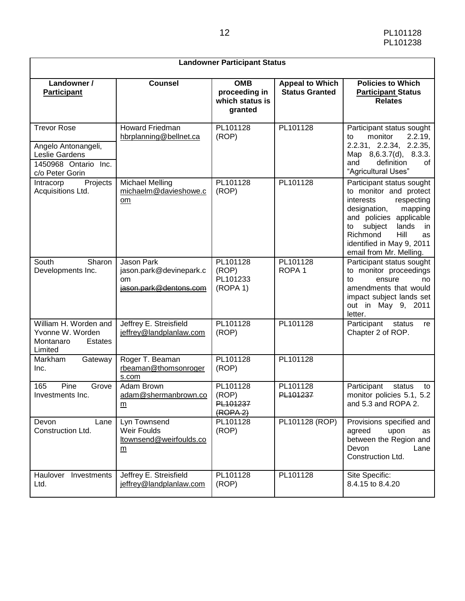| <b>Landowner Participant Status</b>                                                                    |                                                                                     |                                                           |                                                 |                                                                                                                                                                                                                                                        |  |
|--------------------------------------------------------------------------------------------------------|-------------------------------------------------------------------------------------|-----------------------------------------------------------|-------------------------------------------------|--------------------------------------------------------------------------------------------------------------------------------------------------------------------------------------------------------------------------------------------------------|--|
| Landowner /<br><b>Participant</b>                                                                      | <b>Counsel</b>                                                                      | <b>OMB</b><br>proceeding in<br>which status is<br>granted | <b>Appeal to Which</b><br><b>Status Granted</b> | <b>Policies to Which</b><br><b>Participant Status</b><br><b>Relates</b>                                                                                                                                                                                |  |
| <b>Trevor Rose</b><br>Angelo Antonangeli,<br>Leslie Gardens<br>1450968 Ontario Inc.<br>c/o Peter Gorin | <b>Howard Friedman</b><br>hbrplanning@bellnet.ca                                    | PL101128<br>(ROP)                                         | PL101128                                        | Participant status sought<br>2.2.19,<br>monitor<br>to<br>2.2.31, 2.2.34, 2.2.35,<br>Map 8,6.3.7(d), 8.3.3.<br>definition<br>and<br>0f<br>"Agricultural Uses"                                                                                           |  |
| Projects<br>Intracorp<br>Acquisitions Ltd.                                                             | <b>Michael Melling</b><br>michaelm@davieshowe.c<br>om                               | PL101128<br>(ROP)                                         | PL101128                                        | Participant status sought<br>to monitor and protect<br>interests<br>respecting<br>designation,<br>mapping<br>and policies applicable<br>subject<br>lands<br>to<br>in<br>Richmond<br>Hill<br>as<br>identified in May 9, 2011<br>email from Mr. Melling. |  |
| Sharon<br>South<br>Developments Inc.                                                                   | <b>Jason Park</b><br>jason.park@devinepark.c<br><b>om</b><br>jason.park@dentons.com | PL101128<br>(ROP)<br>PL101233<br>(ROPA 1)                 | PL101128<br>ROPA <sub>1</sub>                   | Participant status sought<br>to monitor proceedings<br>to<br>ensure<br>no<br>amendments that would<br>impact subject lands set<br>out in May 9, 2011<br>letter.                                                                                        |  |
| William H. Worden and<br>Yvonne W. Worden<br>Montanaro<br>Estates<br>Limited                           | Jeffrey E. Streisfield<br>jeffrey@landplanlaw.com                                   | PL101128<br>(ROP)                                         | PL101128                                        | Participant<br>status<br>re<br>Chapter 2 of ROP.                                                                                                                                                                                                       |  |
| <b>Markham</b><br>Gateway<br>Inc.                                                                      | Roger T. Beaman<br>rbeaman@thomsonroger<br>s.com                                    | PL101128<br>(ROP)                                         | PL101128                                        |                                                                                                                                                                                                                                                        |  |
| Pine<br>Grove<br>165<br>Investments Inc.                                                               | Adam Brown<br>adam@shermanbrown.co<br>m                                             | PL101128<br>(ROP)<br>PL101237<br>(ROPA <sub>2</sub> )     | PL101128<br>PL101237                            | Participant<br>status<br>to<br>monitor policies 5.1,<br>5.2<br>and 5.3 and ROPA 2.                                                                                                                                                                     |  |
| Devon<br>Lane<br>Construction Ltd.                                                                     | Lyn Townsend<br>Weir Foulds<br>ltownsend@weirfoulds.co<br>m                         | PL101128<br>(ROP)                                         | PL101128 (ROP)                                  | Provisions specified and<br>agreed<br>upon<br>as<br>between the Region and<br>Devon<br>Lane<br>Construction Ltd.                                                                                                                                       |  |
| Haulover Investments<br>Ltd.                                                                           | Jeffrey E. Streisfield<br>jeffrey@landplanlaw.com                                   | PL101128<br>(ROP)                                         | PL101128                                        | Site Specific:<br>8.4.15 to 8.4.20                                                                                                                                                                                                                     |  |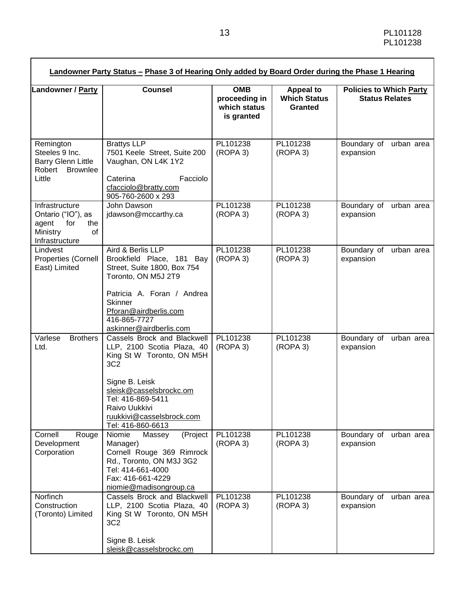| Landowner / Party                                                                               | <b>Counsel</b>                                                                                                                                                                                                                                 | <b>OMB</b><br>proceeding in<br>which status<br>is granted | <b>Appeal to</b><br><b>Which Status</b><br><b>Granted</b> | <b>Policies to Which Party</b><br><b>Status Relates</b> |
|-------------------------------------------------------------------------------------------------|------------------------------------------------------------------------------------------------------------------------------------------------------------------------------------------------------------------------------------------------|-----------------------------------------------------------|-----------------------------------------------------------|---------------------------------------------------------|
| Remington<br>Steeles 9 Inc.<br><b>Barry Glenn Little</b><br>Robert Brownlee<br>Little           | <b>Brattys LLP</b><br>7501 Keele Street, Suite 200<br>Vaughan, ON L4K 1Y2<br>Facciolo<br>Caterina<br>cfacciolo@bratty.com<br>905-760-2600 x 293                                                                                                | PL101238<br>(ROPA 3)                                      | PL101238<br>(ROPA 3)                                      | Boundary of<br>urban area<br>expansion                  |
| Infrastructure<br>Ontario ("IO"), as<br>for<br>agent<br>the<br>Ministry<br>of<br>Infrastructure | John Dawson<br>jdawson@mccarthy.ca                                                                                                                                                                                                             | PL101238<br>(ROPA 3)                                      | PL101238<br>(ROPA 3)                                      | Boundary of<br>urban area<br>expansion                  |
| Lindvest<br>Properties (Cornell<br>East) Limited                                                | Aird & Berlis LLP<br>Brookfield Place, 181 Bay<br>Street, Suite 1800, Box 754<br>Toronto, ON M5J 2T9<br>Patricia A. Foran / Andrea<br><b>Skinner</b><br>Pforan@airdberlis.com<br>416-865-7727<br>askinner@airdberlis.com                       | PL101238<br>(ROPA 3)                                      | PL101238<br>(ROPA 3)                                      | Boundary of urban area<br>expansion                     |
| Varlese<br><b>Brothers</b><br>Ltd.                                                              | Cassels Brock and Blackwell<br>LLP, 2100 Scotia Plaza, 40<br>King St W Toronto, ON M5H<br>3C <sub>2</sub><br>Signe B. Leisk<br>sleisk@casselsbrockc.om<br>Tel: 416-869-5411<br>Raivo Uukkivi<br>ruukkivi@casselsbrock.com<br>Tel: 416-860-6613 | PL101238<br>(ROPA 3)                                      | PL101238<br>(ROPA 3)                                      | Boundary of<br>urban area<br>expansion                  |
| Cornell<br>Rouge<br>Development<br>Corporation                                                  | Niomie<br>Massey<br>(Project<br>Manager)<br>Cornell Rouge 369 Rimrock<br>Rd., Toronto, ON M3J 3G2<br>Tel: 414-661-4000<br>Fax: 416-661-4229<br>niomie@madisongroup.ca                                                                          | PL101238<br>(ROPA 3)                                      | PL101238<br>(ROPA 3)                                      | Boundary of<br>urban area<br>expansion                  |
| Norfinch<br>Construction<br>(Toronto) Limited                                                   | Cassels Brock and Blackwell<br>LLP, 2100 Scotia Plaza, 40<br>King St W Toronto, ON M5H<br>3C <sub>2</sub><br>Signe B. Leisk<br>sleisk@casselsbrockc.om                                                                                         | PL101238<br>(ROPA 3)                                      | PL101238<br>(ROPA 3)                                      | Boundary of<br>urban area<br>expansion                  |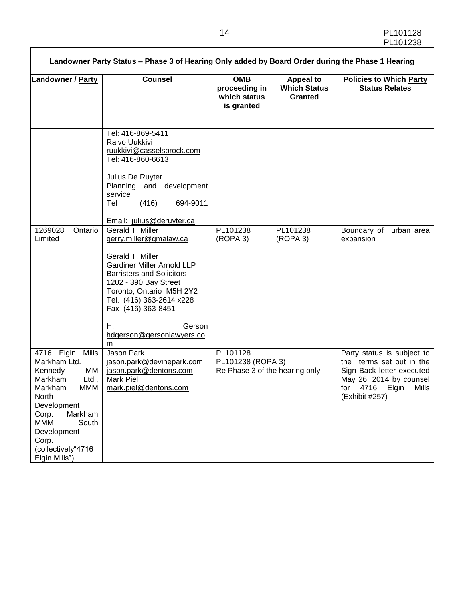| <b>Counsel</b>                                                                                                                                                                                                                                 | <b>OMB</b><br>proceeding in<br>which status<br>is granted       | <b>Appeal to</b><br><b>Which Status</b><br><b>Granted</b> | <b>Policies to Which Party</b><br><b>Status Relates</b>                                                                                                     |
|------------------------------------------------------------------------------------------------------------------------------------------------------------------------------------------------------------------------------------------------|-----------------------------------------------------------------|-----------------------------------------------------------|-------------------------------------------------------------------------------------------------------------------------------------------------------------|
| Tel: 416-869-5411<br>Raivo Uukkivi<br>ruukkivi@casselsbrock.com<br>Tel: 416-860-6613<br>Julius De Ruyter<br>Planning and development<br>service<br>(416)<br>694-9011<br>Tel<br>Email: julius@deruyter.ca                                       |                                                                 |                                                           |                                                                                                                                                             |
| Gerald T. Miller<br>gerry.miller@gmalaw.ca<br>Gerald T. Miller<br><b>Gardiner Miller Arnold LLP</b><br><b>Barristers and Solicitors</b><br>1202 - 390 Bay Street<br>Toronto, Ontario M5H 2Y2<br>Tel. (416) 363-2614 x228<br>Fax (416) 363-8451 | PL101238<br>PL101238<br>(ROPA 3)<br>(ROPA 3)                    |                                                           | Boundary of<br>urban area<br>expansion                                                                                                                      |
| Gerson<br>Н.<br>hdgerson@gersonlawyers.co<br>m                                                                                                                                                                                                 |                                                                 |                                                           |                                                                                                                                                             |
| Jason Park<br>jason.park@devinepark.com<br>jason.park@dentons.com<br>Mark Piel<br>mark.piel@dentons.com                                                                                                                                        | PL101128<br>PL101238 (ROPA 3)<br>Re Phase 3 of the hearing only |                                                           | Party status is subject to<br>the terms set out in the<br>Sign Back letter executed<br>May 26, 2014 by counsel<br>for 4716 Elgin<br>Mills<br>(Exhibit #257) |
|                                                                                                                                                                                                                                                |                                                                 |                                                           |                                                                                                                                                             |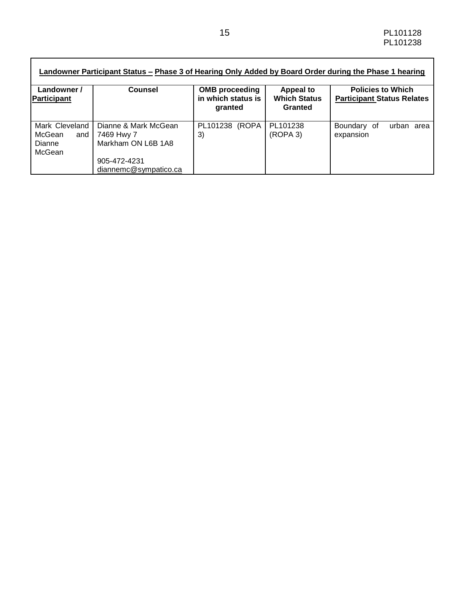| Landowner /<br>Participant                                   | <b>Counsel</b>                                           | <b>OMB</b> proceeding<br>in which status is<br>granted | <b>Appeal to</b><br><b>Which Status</b><br>Granted | <b>Policies to Which</b><br><b>Participant Status Relates</b> |
|--------------------------------------------------------------|----------------------------------------------------------|--------------------------------------------------------|----------------------------------------------------|---------------------------------------------------------------|
| Mark Cleveland<br>McGean<br>and I<br><b>Dianne</b><br>McGean | Dianne & Mark McGean<br>7469 Hwy 7<br>Markham ON L6B 1A8 | PL101238 (ROPA<br>3)                                   | PL101238<br>(ROPA 3)                               | Boundary of<br>urban area<br>expansion                        |
|                                                              | 905-472-4231<br>diannemc@sympatico.ca                    |                                                        |                                                    |                                                               |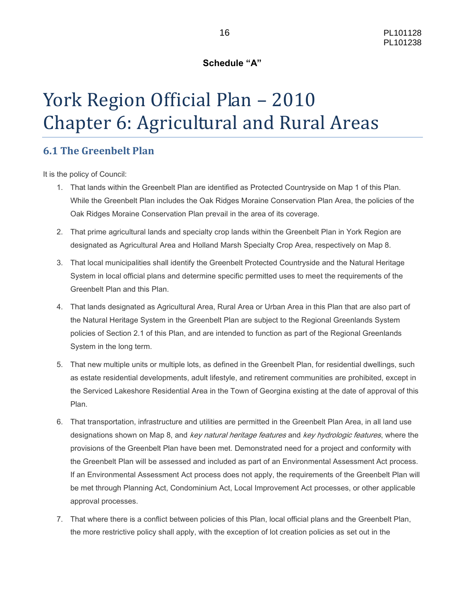#### **Schedule "A"**

# York Region Official Plan – 2010 Chapter 6: Agricultural and Rural Areas

### **6.1 The Greenbelt Plan**

It is the policy of Council:

- 1. That lands within the Greenbelt Plan are identified as Protected Countryside on Map 1 of this Plan. While the Greenbelt Plan includes the Oak Ridges Moraine Conservation Plan Area, the policies of the Oak Ridges Moraine Conservation Plan prevail in the area of its coverage.
- 2. That prime agricultural lands and specialty crop lands within the Greenbelt Plan in York Region are designated as Agricultural Area and Holland Marsh Specialty Crop Area, respectively on Map 8.
- 3. That local municipalities shall identify the Greenbelt Protected Countryside and the Natural Heritage System in local official plans and determine specific permitted uses to meet the requirements of the Greenbelt Plan and this Plan.
- 4. That lands designated as Agricultural Area, Rural Area or Urban Area in this Plan that are also part of the Natural Heritage System in the Greenbelt Plan are subject to the Regional Greenlands System policies of Section 2.1 of this Plan, and are intended to function as part of the Regional Greenlands System in the long term.
- 5. That new multiple units or multiple lots, as defined in the Greenbelt Plan, for residential dwellings, such as estate residential developments, adult lifestyle, and retirement communities are prohibited, except in the Serviced Lakeshore Residential Area in the Town of Georgina existing at the date of approval of this Plan.
- 6. That transportation, infrastructure and utilities are permitted in the Greenbelt Plan Area, in all land use designations shown on Map 8, and key natural heritage features and key hydrologic features, where the provisions of the Greenbelt Plan have been met. Demonstrated need for a project and conformity with the Greenbelt Plan will be assessed and included as part of an Environmental Assessment Act process. If an Environmental Assessment Act process does not apply, the requirements of the Greenbelt Plan will be met through Planning Act, Condominium Act, Local Improvement Act processes, or other applicable approval processes.
- 7. That where there is a conflict between policies of this Plan, local official plans and the Greenbelt Plan, the more restrictive policy shall apply, with the exception of lot creation policies as set out in the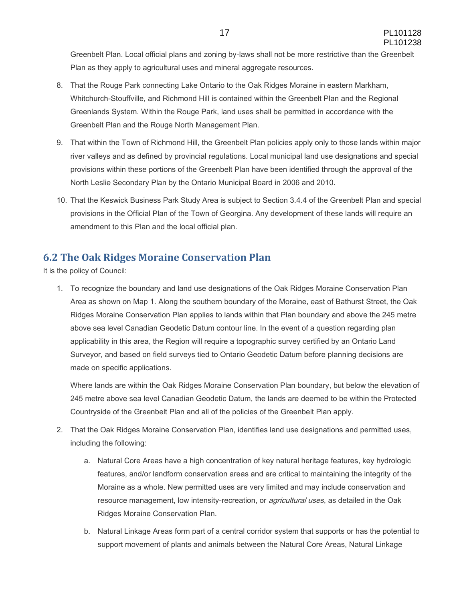Greenbelt Plan. Local official plans and zoning by-laws shall not be more restrictive than the Greenbelt Plan as they apply to agricultural uses and mineral aggregate resources.

- 8. That the Rouge Park connecting Lake Ontario to the Oak Ridges Moraine in eastern Markham, Whitchurch-Stouffville, and Richmond Hill is contained within the Greenbelt Plan and the Regional Greenlands System. Within the Rouge Park, land uses shall be permitted in accordance with the Greenbelt Plan and the Rouge North Management Plan.
- 9. That within the Town of Richmond Hill, the Greenbelt Plan policies apply only to those lands within major river valleys and as defined by provincial regulations. Local municipal land use designations and special provisions within these portions of the Greenbelt Plan have been identified through the approval of the North Leslie Secondary Plan by the Ontario Municipal Board in 2006 and 2010.
- 10. That the Keswick Business Park Study Area is subject to Section 3.4.4 of the Greenbelt Plan and special provisions in the Official Plan of the Town of Georgina. Any development of these lands will require an amendment to this Plan and the local official plan.

## **6.2 The Oak Ridges Moraine Conservation Plan**

It is the policy of Council:

1. To recognize the boundary and land use designations of the Oak Ridges Moraine Conservation Plan Area as shown on Map 1. Along the southern boundary of the Moraine, east of Bathurst Street, the Oak Ridges Moraine Conservation Plan applies to lands within that Plan boundary and above the 245 metre above sea level Canadian Geodetic Datum contour line. In the event of a question regarding plan applicability in this area, the Region will require a topographic survey certified by an Ontario Land Surveyor, and based on field surveys tied to Ontario Geodetic Datum before planning decisions are made on specific applications.

Where lands are within the Oak Ridges Moraine Conservation Plan boundary, but below the elevation of 245 metre above sea level Canadian Geodetic Datum, the lands are deemed to be within the Protected Countryside of the Greenbelt Plan and all of the policies of the Greenbelt Plan apply.

- 2. That the Oak Ridges Moraine Conservation Plan, identifies land use designations and permitted uses, including the following:
	- a. Natural Core Areas have a high concentration of key natural heritage features, key hydrologic features, and/or landform conservation areas and are critical to maintaining the integrity of the Moraine as a whole. New permitted uses are very limited and may include conservation and resource management, low intensity-recreation, or *agricultural uses*, as detailed in the Oak Ridges Moraine Conservation Plan.
	- b. Natural Linkage Areas form part of a central corridor system that supports or has the potential to support movement of plants and animals between the Natural Core Areas, Natural Linkage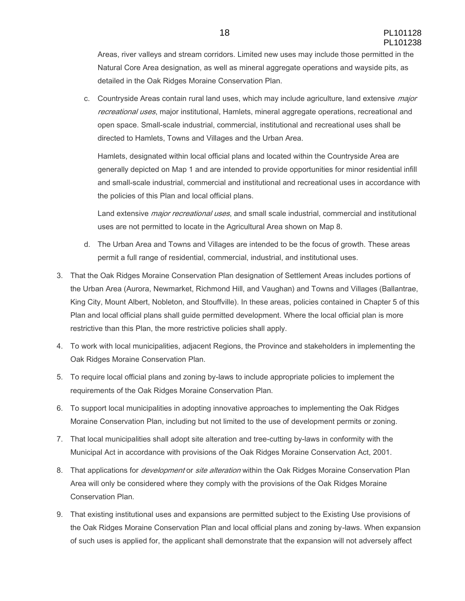Areas, river valleys and stream corridors. Limited new uses may include those permitted in the Natural Core Area designation, as well as mineral aggregate operations and wayside pits, as detailed in the Oak Ridges Moraine Conservation Plan.

c. Countryside Areas contain rural land uses, which may include agriculture, land extensive *major* recreational uses, major institutional, Hamlets, mineral aggregate operations, recreational and open space. Small-scale industrial, commercial, institutional and recreational uses shall be directed to Hamlets, Towns and Villages and the Urban Area.

Hamlets, designated within local official plans and located within the Countryside Area are generally depicted on Map 1 and are intended to provide opportunities for minor residential infill and small-scale industrial, commercial and institutional and recreational uses in accordance with the policies of this Plan and local official plans.

Land extensive *major recreational uses*, and small scale industrial, commercial and institutional uses are not permitted to locate in the Agricultural Area shown on Map 8.

- d. The Urban Area and Towns and Villages are intended to be the focus of growth. These areas permit a full range of residential, commercial, industrial, and institutional uses.
- 3. That the Oak Ridges Moraine Conservation Plan designation of Settlement Areas includes portions of the Urban Area (Aurora, Newmarket, Richmond Hill, and Vaughan) and Towns and Villages (Ballantrae, King City, Mount Albert, Nobleton, and Stouffville). In these areas, policies contained in Chapter 5 of this Plan and local official plans shall guide permitted development. Where the local official plan is more restrictive than this Plan, the more restrictive policies shall apply.
- 4. To work with local municipalities, adjacent Regions, the Province and stakeholders in implementing the Oak Ridges Moraine Conservation Plan.
- 5. To require local official plans and zoning by-laws to include appropriate policies to implement the requirements of the Oak Ridges Moraine Conservation Plan.
- 6. To support local municipalities in adopting innovative approaches to implementing the Oak Ridges Moraine Conservation Plan, including but not limited to the use of development permits or zoning.
- 7. That local municipalities shall adopt site alteration and tree-cutting by-laws in conformity with the Municipal Act in accordance with provisions of the Oak Ridges Moraine Conservation Act, 2001.
- 8. That applications for *development* or *site alteration* within the Oak Ridges Moraine Conservation Plan Area will only be considered where they comply with the provisions of the Oak Ridges Moraine Conservation Plan.
- 9. That existing institutional uses and expansions are permitted subject to the Existing Use provisions of the Oak Ridges Moraine Conservation Plan and local official plans and zoning by-laws. When expansion of such uses is applied for, the applicant shall demonstrate that the expansion will not adversely affect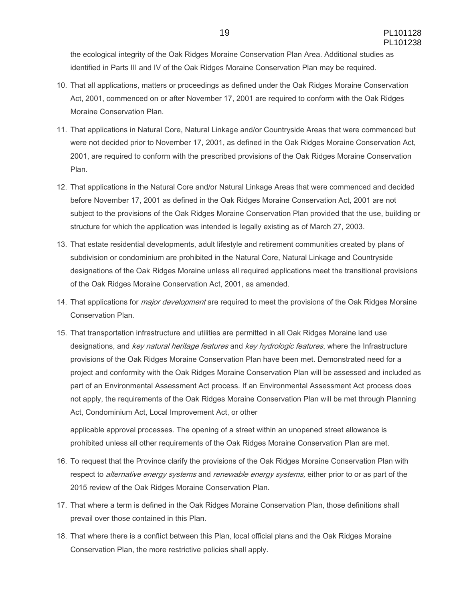the ecological integrity of the Oak Ridges Moraine Conservation Plan Area. Additional studies as identified in Parts III and IV of the Oak Ridges Moraine Conservation Plan may be required.

- 10. That all applications, matters or proceedings as defined under the Oak Ridges Moraine Conservation Act, 2001, commenced on or after November 17, 2001 are required to conform with the Oak Ridges Moraine Conservation Plan.
- 11. That applications in Natural Core, Natural Linkage and/or Countryside Areas that were commenced but were not decided prior to November 17, 2001, as defined in the Oak Ridges Moraine Conservation Act, 2001, are required to conform with the prescribed provisions of the Oak Ridges Moraine Conservation Plan.
- 12. That applications in the Natural Core and/or Natural Linkage Areas that were commenced and decided before November 17, 2001 as defined in the Oak Ridges Moraine Conservation Act, 2001 are not subject to the provisions of the Oak Ridges Moraine Conservation Plan provided that the use, building or structure for which the application was intended is legally existing as of March 27, 2003.
- 13. That estate residential developments, adult lifestyle and retirement communities created by plans of subdivision or condominium are prohibited in the Natural Core, Natural Linkage and Countryside designations of the Oak Ridges Moraine unless all required applications meet the transitional provisions of the Oak Ridges Moraine Conservation Act, 2001, as amended.
- 14. That applications for *major development* are required to meet the provisions of the Oak Ridges Moraine Conservation Plan.
- 15. That transportation infrastructure and utilities are permitted in all Oak Ridges Moraine land use designations, and key natural heritage features and key hydrologic features, where the Infrastructure provisions of the Oak Ridges Moraine Conservation Plan have been met. Demonstrated need for a project and conformity with the Oak Ridges Moraine Conservation Plan will be assessed and included as part of an Environmental Assessment Act process. If an Environmental Assessment Act process does not apply, the requirements of the Oak Ridges Moraine Conservation Plan will be met through Planning Act, Condominium Act, Local Improvement Act, or other

applicable approval processes. The opening of a street within an unopened street allowance is prohibited unless all other requirements of the Oak Ridges Moraine Conservation Plan are met.

- 16. To request that the Province clarify the provisions of the Oak Ridges Moraine Conservation Plan with respect to *alternative energy systems* and *renewable energy systems*, either prior to or as part of the 2015 review of the Oak Ridges Moraine Conservation Plan.
- 17. That where a term is defined in the Oak Ridges Moraine Conservation Plan, those definitions shall prevail over those contained in this Plan.
- 18. That where there is a conflict between this Plan, local official plans and the Oak Ridges Moraine Conservation Plan, the more restrictive policies shall apply.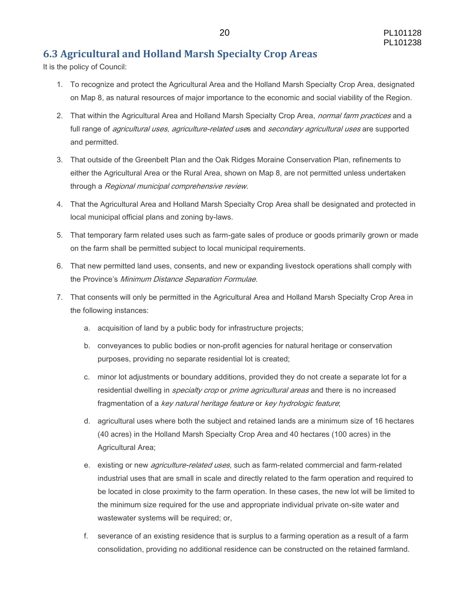## **6.3 Agricultural and Holland Marsh Specialty Crop Areas**

It is the policy of Council:

- 1. To recognize and protect the Agricultural Area and the Holland Marsh Specialty Crop Area, designated on Map 8, as natural resources of major importance to the economic and social viability of the Region.
- 2. That within the Agricultural Area and Holland Marsh Specialty Crop Area, *normal farm practices* and a full range of *agricultural uses, agriculture-related use*s and *secondary agricultural uses* are supported and permitted.
- 3. That outside of the Greenbelt Plan and the Oak Ridges Moraine Conservation Plan, refinements to either the Agricultural Area or the Rural Area, shown on Map 8, are not permitted unless undertaken through a Regional municipal comprehensive review.
- 4. That the Agricultural Area and Holland Marsh Specialty Crop Area shall be designated and protected in local municipal official plans and zoning by-laws.
- 5. That temporary farm related uses such as farm-gate sales of produce or goods primarily grown or made on the farm shall be permitted subject to local municipal requirements.
- 6. That new permitted land uses, consents, and new or expanding livestock operations shall comply with the Province's Minimum Distance Separation Formulae.
- 7. That consents will only be permitted in the Agricultural Area and Holland Marsh Specialty Crop Area in the following instances:
	- a. acquisition of land by a public body for infrastructure projects;
	- b. conveyances to public bodies or non-profit agencies for natural heritage or conservation purposes, providing no separate residential lot is created;
	- c. minor lot adjustments or boundary additions, provided they do not create a separate lot for a residential dwelling in *specialty crop* or *prime agricultural areas* and there is no increased fragmentation of a key natural heritage feature or key hydrologic feature;
	- d. agricultural uses where both the subject and retained lands are a minimum size of 16 hectares (40 acres) in the Holland Marsh Specialty Crop Area and 40 hectares (100 acres) in the Agricultural Area;
	- e. existing or new *agriculture-related uses*, such as farm-related commercial and farm-related industrial uses that are small in scale and directly related to the farm operation and required to be located in close proximity to the farm operation. In these cases, the new lot will be limited to the minimum size required for the use and appropriate individual private on-site water and wastewater systems will be required; or,
	- f. severance of an existing residence that is surplus to a farming operation as a result of a farm consolidation, providing no additional residence can be constructed on the retained farmland.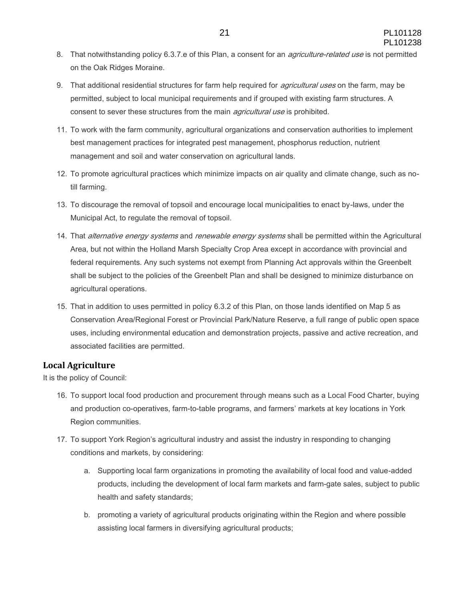- 8. That notwithstanding policy 6.3.7.e of this Plan, a consent for an *agriculture-related use* is not permitted on the Oak Ridges Moraine.
- 9. That additional residential structures for farm help required for *agricultural uses* on the farm, may be permitted, subject to local municipal requirements and if grouped with existing farm structures. A consent to sever these structures from the main *agricultural use* is prohibited.
- 11. To work with the farm community, agricultural organizations and conservation authorities to implement best management practices for integrated pest management, phosphorus reduction, nutrient management and soil and water conservation on agricultural lands.
- 12. To promote agricultural practices which minimize impacts on air quality and climate change, such as notill farming.
- 13. To discourage the removal of topsoil and encourage local municipalities to enact by-laws, under the Municipal Act, to regulate the removal of topsoil.
- 14. That alternative energy systems and renewable energy systems shall be permitted within the Agricultural Area, but not within the Holland Marsh Specialty Crop Area except in accordance with provincial and federal requirements. Any such systems not exempt from Planning Act approvals within the Greenbelt shall be subject to the policies of the Greenbelt Plan and shall be designed to minimize disturbance on agricultural operations.
- 15. That in addition to uses permitted in policy 6.3.2 of this Plan, on those lands identified on Map 5 as Conservation Area/Regional Forest or Provincial Park/Nature Reserve, a full range of public open space uses, including environmental education and demonstration projects, passive and active recreation, and associated facilities are permitted.

#### **Local Agriculture**

It is the policy of Council:

- 16. To support local food production and procurement through means such as a Local Food Charter, buying and production co-operatives, farm-to-table programs, and farmers' markets at key locations in York Region communities.
- 17. To support York Region's agricultural industry and assist the industry in responding to changing conditions and markets, by considering:
	- a. Supporting local farm organizations in promoting the availability of local food and value-added products, including the development of local farm markets and farm-gate sales, subject to public health and safety standards;
	- b. promoting a variety of agricultural products originating within the Region and where possible assisting local farmers in diversifying agricultural products;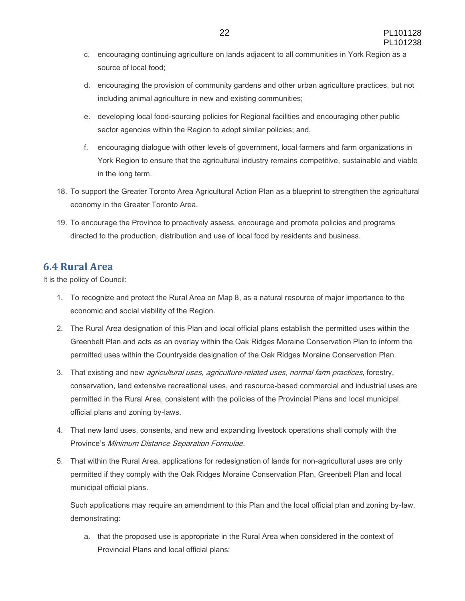- c. encouraging continuing agriculture on lands adjacent to all communities in York Region as a source of local food;
- d. encouraging the provision of community gardens and other urban agriculture practices, but not including animal agriculture in new and existing communities;
- e. developing local food-sourcing policies for Regional facilities and encouraging other public sector agencies within the Region to adopt similar policies; and,
- f. encouraging dialogue with other levels of government, local farmers and farm organizations in York Region to ensure that the agricultural industry remains competitive, sustainable and viable in the long term.
- 18. To support the Greater Toronto Area Agricultural Action Plan as a blueprint to strengthen the agricultural economy in the Greater Toronto Area.
- 19. To encourage the Province to proactively assess, encourage and promote policies and programs directed to the production, distribution and use of local food by residents and business.

#### **6.4 Rural Area**

It is the policy of Council:

- 1. To recognize and protect the Rural Area on Map 8, as a natural resource of major importance to the economic and social viability of the Region.
- 2. The Rural Area designation of this Plan and local official plans establish the permitted uses within the Greenbelt Plan and acts as an overlay within the Oak Ridges Moraine Conservation Plan to inform the permitted uses within the Countryside designation of the Oak Ridges Moraine Conservation Plan.
- 3. That existing and new *agricultural uses, agriculture-related uses, normal farm practices*, forestry, conservation, land extensive recreational uses, and resource-based commercial and industrial uses are permitted in the Rural Area, consistent with the policies of the Provincial Plans and local municipal official plans and zoning by-laws.
- 4. That new land uses, consents, and new and expanding livestock operations shall comply with the Province's Minimum Distance Separation Formulae.
- 5. That within the Rural Area, applications for redesignation of lands for non-agricultural uses are only permitted if they comply with the Oak Ridges Moraine Conservation Plan, Greenbelt Plan and local municipal official plans.

Such applications may require an amendment to this Plan and the local official plan and zoning by-law, demonstrating:

a. that the proposed use is appropriate in the Rural Area when considered in the context of Provincial Plans and local official plans;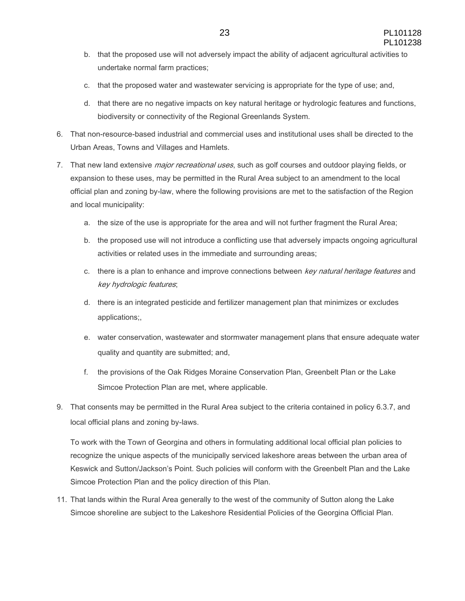- b. that the proposed use will not adversely impact the ability of adjacent agricultural activities to undertake normal farm practices;
- c. that the proposed water and wastewater servicing is appropriate for the type of use; and,
- d. that there are no negative impacts on key natural heritage or hydrologic features and functions, biodiversity or connectivity of the Regional Greenlands System.
- 6. That non-resource-based industrial and commercial uses and institutional uses shall be directed to the Urban Areas, Towns and Villages and Hamlets.
- 7. That new land extensive *major recreational uses*, such as golf courses and outdoor playing fields, or expansion to these uses, may be permitted in the Rural Area subject to an amendment to the local official plan and zoning by-law, where the following provisions are met to the satisfaction of the Region and local municipality:
	- a. the size of the use is appropriate for the area and will not further fragment the Rural Area;
	- b. the proposed use will not introduce a conflicting use that adversely impacts ongoing agricultural activities or related uses in the immediate and surrounding areas;
	- c. there is a plan to enhance and improve connections between key natural heritage features and key hydrologic features;
	- d. there is an integrated pesticide and fertilizer management plan that minimizes or excludes applications;,
	- e. water conservation, wastewater and stormwater management plans that ensure adequate water quality and quantity are submitted; and,
	- f. the provisions of the Oak Ridges Moraine Conservation Plan, Greenbelt Plan or the Lake Simcoe Protection Plan are met, where applicable.
- 9. That consents may be permitted in the Rural Area subject to the criteria contained in policy 6.3.7, and local official plans and zoning by-laws.

To work with the Town of Georgina and others in formulating additional local official plan policies to recognize the unique aspects of the municipally serviced lakeshore areas between the urban area of Keswick and Sutton/Jackson's Point. Such policies will conform with the Greenbelt Plan and the Lake Simcoe Protection Plan and the policy direction of this Plan.

11. That lands within the Rural Area generally to the west of the community of Sutton along the Lake Simcoe shoreline are subject to the Lakeshore Residential Policies of the Georgina Official Plan.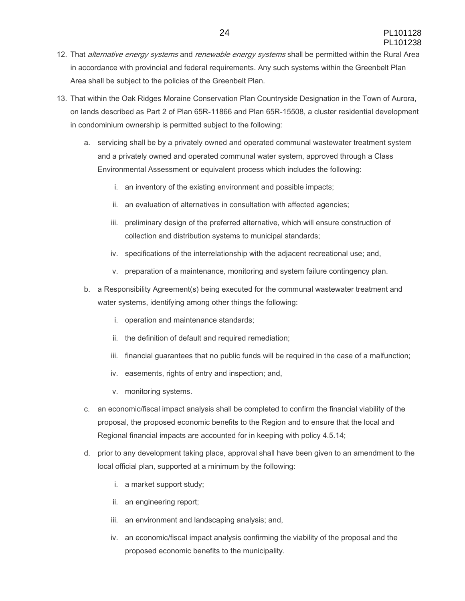- 12. That alternative energy systems and renewable energy systems shall be permitted within the Rural Area in accordance with provincial and federal requirements. Any such systems within the Greenbelt Plan Area shall be subject to the policies of the Greenbelt Plan.
- 13. That within the Oak Ridges Moraine Conservation Plan Countryside Designation in the Town of Aurora, on lands described as Part 2 of Plan 65R-11866 and Plan 65R-15508, a cluster residential development in condominium ownership is permitted subject to the following:
	- a. servicing shall be by a privately owned and operated communal wastewater treatment system and a privately owned and operated communal water system, approved through a Class Environmental Assessment or equivalent process which includes the following:
		- i. an inventory of the existing environment and possible impacts;
		- ii. an evaluation of alternatives in consultation with affected agencies;
		- iii. preliminary design of the preferred alternative, which will ensure construction of collection and distribution systems to municipal standards;
		- iv. specifications of the interrelationship with the adjacent recreational use; and,
		- v. preparation of a maintenance, monitoring and system failure contingency plan.
	- b. a Responsibility Agreement(s) being executed for the communal wastewater treatment and water systems, identifying among other things the following:
		- i. operation and maintenance standards;
		- ii. the definition of default and required remediation;
		- iii. financial guarantees that no public funds will be required in the case of a malfunction;
		- iv. easements, rights of entry and inspection; and,
		- v. monitoring systems.
	- c. an economic/fiscal impact analysis shall be completed to confirm the financial viability of the proposal, the proposed economic benefits to the Region and to ensure that the local and Regional financial impacts are accounted for in keeping with policy 4.5.14;
	- d. prior to any development taking place, approval shall have been given to an amendment to the local official plan, supported at a minimum by the following:
		- i. a market support study;
		- ii. an engineering report;
		- iii. an environment and landscaping analysis; and,
		- iv. an economic/fiscal impact analysis confirming the viability of the proposal and the proposed economic benefits to the municipality.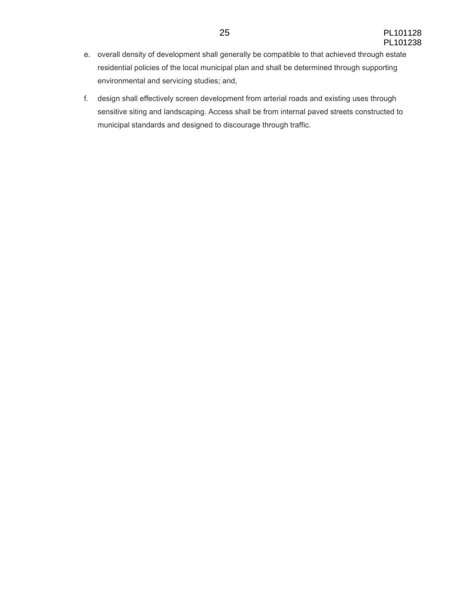- e. overall density of development shall generally be compatible to that achieved through estate residential policies of the local municipal plan and shall be determined through supporting environmental and servicing studies; and,
- f. design shall effectively screen development from arterial roads and existing uses through sensitive siting and landscaping. Access shall be from internal paved streets constructed to municipal standards and designed to discourage through traffic.